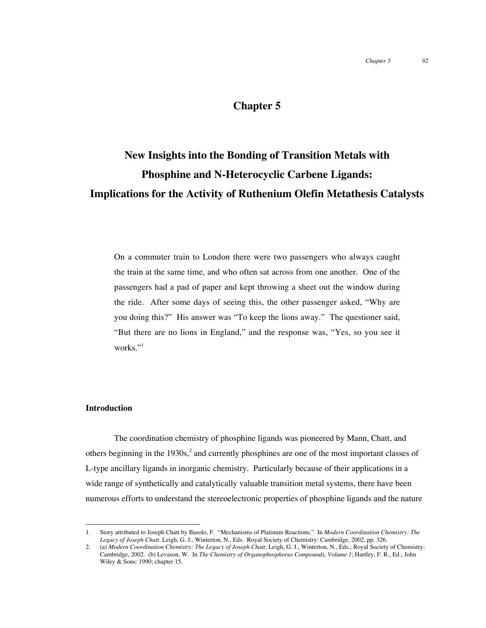## **Chapter 5**

# **New Insights into the Bonding of Transition Metals with Phosphine and N-Heterocyclic Carbene Ligands: Implications for the Activity of Ruthenium Olefin Metathesis Catalysts**

On a commuter train to London there were two passengers who always caught the train at the same time, and who often sat across from one another. One of the passengers had a pad of paper and kept throwing a sheet out the window during the ride. After some days of seeing this, the other passenger asked, "Why are you doing this?" His answer was "To keep the lions away." The questioner said, "But there are no lions in England," and the response was, "Yes, so you see it works."<sup>1</sup>

#### **Introduction**

The coordination chemistry of phosphine ligands was pioneered by Mann, Chatt, and others beginning in the 1930s,<sup>2</sup> and currently phosphines are one of the most important classes of L-type ancillary ligands in inorganic chemistry. Particularly because of their applications in a wide range of synthetically and catalytically valuable transition metal systems, there have been numerous efforts to understand the stereoelectronic properties of phosphine ligands and the nature

 <sup>1.</sup> Story attributed to Joseph Chatt by Basolo, F. "Mechanisms of Platinum Reactions." In *Modern Coordination Chemistry: The Legacy of Joseph Chatt.* Leigh, G. J., Winterton, N., Eds. Royal Society of Chemistry: Cambridge, 2002, pp. 326.

<sup>2.</sup> (a) *Modern Coordination Chemistry: The Legacy of Joseph Chatt*; Leigh, G. J., Winterton, N., Eds.; Royal Society of Chemistry: Cambridge, 2002. (b) Levason, W. In *The Chemistry of Organophosphorus Compounds, Volume 1*; Hartley, F. R., Ed.; John Wiley & Sons: 1990; chapter 15.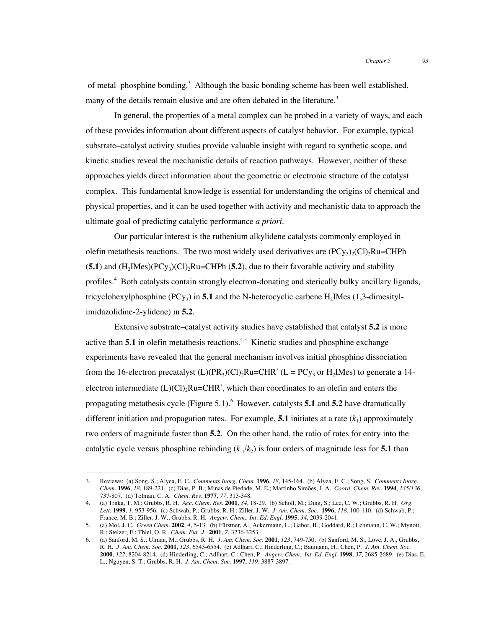of metal–phosphine bonding.<sup>3</sup> Although the basic bonding scheme has been well established, many of the details remain elusive and are often debated in the literature.<sup>3</sup>

In general, the properties of a metal complex can be probed in a variety of ways, and each of these provides information about different aspects of catalyst behavior. For example, typical substrate–catalyst activity studies provide valuable insight with regard to synthetic scope, and kinetic studies reveal the mechanistic details of reaction pathways. However, neither of these approaches yields direct information about the geometric or electronic structure of the catalyst complex. This fundamental knowledge is essential for understanding the origins of chemical and physical properties, and it can be used together with activity and mechanistic data to approach the ultimate goal of predicting catalytic performance *a priori*.

Our particular interest is the ruthenium alkylidene catalysts commonly employed in olefin metathesis reactions. The two most widely used derivatives are  $(PC_{y3})_2(C_1)_2Ru=CHPh$  $(5.1)$  and  $(H_2IMes)(PCy_3)(Cl)_2Ru=CHPh (5.2)$ , due to their favorable activity and stability profiles.<sup>4</sup> Both catalysts contain strongly electron-donating and sterically bulky ancillary ligands, tricyclohexylphosphine (PCy<sub>3</sub>) in **5.1** and the N-heterocyclic carbene H<sub>2</sub>IMes (1,3-dimesitylimidazolidine-2-ylidene) in **5.2**.

Extensive substrate–catalyst activity studies have established that catalyst **5.2** is more active than  $5.1$  in olefin metathesis reactions.<sup>4,5</sup> Kinetic studies and phosphine exchange experiments have revealed that the general mechanism involves initial phosphine dissociation from the 16-electron precatalyst  $(L)(PR_3)(Cl)_2Ru=CHR' (L = PCy_3)$  or  $H_2IM$ es) to generate a 14electron intermediate  $(L)(Cl)<sub>2</sub>Ru=CHR'$ , which then coordinates to an olefin and enters the propagating metathesis cycle (Figure 5.1). <sup>6</sup> However, catalysts **5.1** and 5.2 have dramatically different initiation and propagation rates. For example, **5.1** initiates at a rate  $(k_1)$  approximately two orders of magnitude faster than **5.2**. On the other hand, the ratio of rates for entry into the catalytic cycle versus phosphine rebinding  $(k_1/k_2)$  is four orders of magnitude less for **5.1** than

 <sup>3.</sup> Reviews: (a) Song, S.; Alyea, E. C. *Comments Inorg. Chem.* **<sup>1996</sup>**, *18*, 145-164. (b) Alyea, E. C.; Song, S. *Comments Inorg. Chem.* **1996**, *18*, 189-221. (c) Dias, P. B.; Minas de Piedade, M. E.; Martinho Simões, J. A. *Coord. Chem. Rev.* **1994**, *135/136*, 737-807. (d) Tolman, C. A. *Chem. Rev.* **1977**, *77*, 313-348.

<sup>4.</sup> (a) Trnka, T. M.; Grubbs, R. H. *Acc. Chem. Res.* **2001**, *34*, 18-29. (b) Scholl, M.; Ding, S.; Lee, C. W.; Grubbs, R. H. *Org. Lett.* **1999**, *1*, 953-956. (c) Schwab, P.; Grubbs, R. H.; Ziller, J. W. *J. Am. Chem. Soc.* **1996**, *118*, 100-110. (d) Schwab, P.; France, M. B.; Ziller, J. W.; Grubbs, R. H. *Angew. Chem., Int. Ed. Engl.* **1995**, *34*, 2039-2041.

<sup>5.</sup> (a) Mol, J. C. *Green Chem.* **2002**, *4*, 5-13. (b) Fürstner, A.; Ackermann, L.; Gabor, B.; Goddard, R.; Lehmann, C. W.; Mynott, R.; Stelzer, F.; Thiel, O. R. *Chem. Eur. J.* **2001**, *7*, 3236-3253.

<sup>6.</sup> (a) Sanford, M. S.; Ulman, M.; Grubbs, R. H. *J. Am. Chem. Soc.* **2001**, *123*, 749-750. (b) Sanford, M. S., Love, J. A., Grubbs, R. H. *J. Am. Chem. Soc.* **2001**, *123*, 6543-6554. (c) Adlhart, C.; Hinderling, C.; Baumann, H.; Chen, P. *J. Am. Chem. Soc.* **2000**, *122*, 8204-8214. (d) Hinderling, C.; Adlhart, C.; Chen, P. *Angew. Chem., Int. Ed. Engl.* **1998**, *37*, 2685-2689. (e) Dias, E. L.; Nguyen, S. T.; Grubbs, R. H. *J. Am. Chem. Soc.* **1997**, *119*, 3887-3897.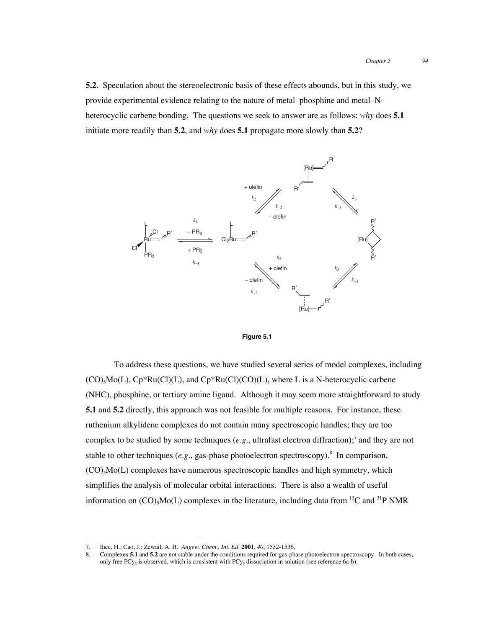**5.2**. Speculation about the stereoelectronic basis of these effects abounds, but in this study, we provide experimental evidence relating to the nature of metal–phosphine and metal–Nheterocyclic carbene bonding. The questions we seek to answer are as follows: *why* does **5.1** initiate more readily than **5.2**, and *why* does **5.1** propagate more slowly than **5.2**?





To address these questions, we have studied several series of model complexes, including  $(CO)_{5}Mo(L)$ ,  $Cp*Ru(Cl)(L)$ , and  $Cp*Ru(Cl)(CO)(L)$ , where L is a N-heterocyclic carbene (NHC), phosphine, or tertiary amine ligand. Although it may seem more straightforward to study **5.1** and **5.2** directly, this approach was not feasible for multiple reasons. For instance, these ruthenium alkylidene complexes do not contain many spectroscopic handles; they are too complex to be studied by some techniques (e.g., ultrafast electron diffraction);<sup>7</sup> and they are not stable to other techniques (e.g., gas-phase photoelectron spectroscopy).<sup>8</sup> In comparison,  $(CO)$ <sub>5</sub>Mo(L) complexes have numerous spectroscopic handles and high symmetry, which simplifies the analysis of molecular orbital interactions. There is also a wealth of useful information on  $(CO)_{5}Mo(L)$  complexes in the literature, including data from <sup>13</sup>C and <sup>31</sup>P NMR

 <sup>7.</sup> Ihee, H.; Cao, J.; Zewail, A. H. *Angew. Chem., Int. Ed.* **<sup>2001</sup>**, *40*, 1532-1536.

<sup>8.</sup> Complexes **5.1** and **5.2** are not stable under the conditions required for gas-phase photoelectron spectroscopy. In both cases, only free PCy<sub>3</sub> is observed, which is consistent with PCy<sub>3</sub> dissociation in solution (see reference 6a-b).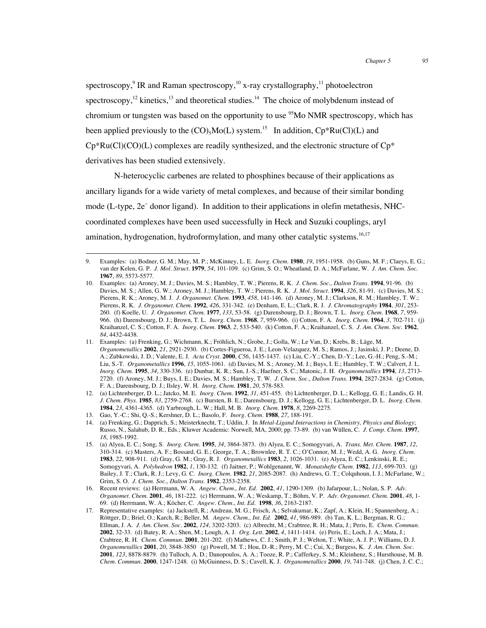spectroscopy, $^9$  IR and Raman spectroscopy, $^{10}$  x-ray crystallography, $^{11}$  photoelectron spectroscopy,<sup>12</sup> kinetics,<sup>13</sup> and theoretical studies.<sup>14</sup> The choice of molybdenum instead of chromium or tungsten was based on the opportunity to use  $\frac{95}{3}$ Mo NMR spectroscopy, which has been applied previously to the  $(CO)_{5}Mo(L)$  system.<sup>15</sup> In addition,  $Cp*Ru(Cl)(L)$  and  $Cp*Ru(Cl)(CO)(L)$  complexes are readily synthesized, and the electronic structure of  $Cp*$ derivatives has been studied extensively.

N-heterocyclic carbenes are related to phosphines because of their applications as ancillary ligands for a wide variety of metal complexes, and because of their similar bonding mode (L-type, 2e<sup>−</sup> donor ligand). In addition to their applications in olefin metathesis, NHCcoordinated complexes have been used successfully in Heck and Suzuki couplings, aryl amination, hydrogenation, hydroformylation, and many other catalytic systems.<sup>16,17</sup>

 <sup>9.</sup> Examples: (a) Bodner, G. M.; May, M. P.; McKinney, L. E. *Inorg. Chem.* **<sup>1980</sup>**, *19*, 1951-1958. (b) Guns, M. F.; Claeys, E. G.; van der Kelen, G. P. *J. Mol. Struct.* **1979**, *54*, 101-109. (c) Grim, S. O.; Wheatland, D. A.; McFarlane, W. *J. Am. Chem. Soc.* **1967**, *89*, 5573-5577.

<sup>10.</sup> Examples: (a) Aroney, M. J.; Davies, M. S.; Hambley, T. W.; Pierens, R. K. *J. Chem. Soc., Dalton Trans.* **1994**, 91-96. (b) Davies, M. S.; Allen, G. W.; Aroney, M. J.; Hambley, T. W.; Pierens, R. K. *J. Mol. Struct.* **1994**, *326*, 81-91. (c) Davies, M. S.; Pierens, R. K.; Aroney, M. J. *J. Organomet. Chem.* **1993**, *458*, 141-146. (d) Aroney, M. J.; Clarkson, R. M.; Hambley, T. W.; Pierens, R. K. *J. Organomet. Chem.* **1992**, *426*, 331-342. (e) Denham, E. L.; Clark, R. J. *J. Chromatography* **1984**, *301*, 253- 260. (f) Koelle, U. *J. Organomet. Chem.* **1977**, *133*, 53-58. (g) Darensbourg, D. J.; Brown, T. L. *Inorg. Chem.* **1968**, *7*, 959- 966. (h) Darensbourg, D. J.; Brown, T. L. *Inorg. Chem.* **1968**, *7*, 959-966. (i) Cotton, F. A. *Inorg. Chem.* **1964**, *3*, 702-711. (j) Kraihanzel, C. S.; Cotton, F. A. *Inorg. Chem.* **1963**, *2*, 533-540. (k) Cotton, F. A.; Kraihanzel, C. S. *J. Am. Chem. Soc.* **1962**, *84*, 4432-4438.

<sup>11.</sup> Examples: (a) Frenking, G.; Wichmann, K.; Fröhlich, N.; Grobe, J.; Golla, W.; Le Van, D.; Krebs, B.; Läge, M. *Organometallics* **2002**, *21*, 2921-2930. (b) Cortes-Figueroa, J. E.; Leon-Velazquez, M. S.; Ramos, J.; Jasinski, J. P.; Deene, D. A.; Zubkowski, J. D.; Valente, E. J. *Acta Cryst.* **2000**, *C56*, 1435-1437. (c) Liu, C.-Y.; Chen, D.-Y.; Lee, G.-H.; Peng, S.-M.; Liu, S.-T. *Organometallics* **1996**, *15*, 1055-1061. (d) Davies, M. S.; Aroney, M. J.; Buys, I. E.; Hambley, T. W.; Calvert, J. L. *Inorg. Chem.* **1995**, *34*, 330-336. (e) Dunbar, K. R.; Sun, J.-S.; Haefner, S. C.; Matonic, J. H. *Organometallics* **1994**, *13*, 2713- 2720. (f) Aroney, M. J.; Buys, I. E.; Davies, M. S.; Hambley, T. W. *J. Chem. Soc., Dalton Trans.* **1994**, 2827-2834. (g) Cotton, F. A.; Darensbourg, D. J.; Ilsley, W. H. *Inorg. Chem.* **1981**, *20*, 578-583.

<sup>12.</sup> (a) Lichtenberger, D. L.; Jatcko, M. E. *Inorg. Chem.* **1992**, *31*, 451-455. (b) Lichtenberger, D. L.; Kellogg, G. E.; Landis, G. H. *J. Chem. Phys.* **1985**, *83*, 2759-2768. (c) Bursten, B. E.; Darensbourg, D. J.; Kellogg, G. E.; Lichtenberger, D. L. *Inorg. Chem.* **1984**, *23*, 4361-4365. (d) Yarbrough, L. W.; Hall, M. B. *Inorg. Chem.* **1978**, *8*, 2269-2275.

<sup>13.</sup> Gao, Y.-C.; Shi, Q.-S.; Kershner, D. L.; Basolo, F. *Inorg. Chem.* **1988**, *27*, 188-191.

<sup>14.</sup> (a) Frenking, G.; Dapprich, S.; Meisterknecht, T.; Uddin, J. In *Metal-Ligand Interactions in Chemistry, Physics and Biology*; Russo, N., Salahub, D. R., Eds.; Kluwer Academic: Norwell, MA, 2000; pp. 73-89. (b) van Wüllen, C. *J. Comp. Chem.* **1997**, *18*, 1985-1992.

<sup>15.</sup> (a) Alyea, E. C.; Song, S. *Inorg. Chem.* **1995**, *34*, 3864-3873. (b) Alyea, E. C.; Somogyvari, A. *Trans. Met. Chem.* **1987**, *12*, 310-314. (c) Masters, A. F.; Bossard, G. E.; George, T. A.; Brownlee, R. T. C.; O'Connor, M. J.; Wedd, A. G. *Inorg. Chem.* **1983**, *22*, 908-911. (d) Gray, G. M.; Gray, R. J. *Organometallics* **1983**, *2*, 1026-1031. (e) Alyea, E. C.; Lenkinski, R. E.; Somogyvari, A. *Polyhedron* **1982**, *1*, 130-132. (f) Jaitner, P.; Wohlgenannt, W. *Monatshefte Chem.* **1982**, *113*, 699-703. (g) Bailey, J. T.; Clark, R. J.; Levy, G. C. *Inorg. Chem.* **1982**, *21*, 2085-2087. (h) Andrews, G. T.; Colquhoun, I. J.; McFarlane, W.; Grim, S. O. *J. Chem. Soc., Dalton Trans.* **1982**, 2353-2358.

<sup>16.</sup> Recent reviews: (a) Herrmann, W. A. *Angew. Chem., Int. Ed.* **2002**, *41*, 1290-1309. (b) Jafarpour, L.; Nolan, S. P. *Adv. Organomet. Chem.* **2001**, *46*, 181-222. (c) Herrmann, W. A.; Weskamp, T.; Böhm, V. P. *Adv. Organomet. Chem.* **2001**, *48*, 1- 69. (d) Herrmann, W. A.; Köcher, C. *Angew. Chem., Int. Ed.* **1998**, *36*, 2163-2187.

<sup>17.</sup> Representative examples: (a) Jackstell, R.; Andreau, M. G.; Frisch, A.; Selvakumar, K.; Zapf, A.; Klein, H.; Spannenberg, A.; Röttger, D.; Briel, O.; Karch, R.; Beller, M. *Angew. Chem., Int. Ed.* **2002**, *41*, 986-989. (b) Tan, K. L.; Bergman, R. G.; Ellman, J. A. *J. Am. Chem. Soc.* **2002**, *124*, 3202-3203. (c) Albrecht, M.; Crabtree, R. H.; Mata, J.; Peris, E. *Chem. Commun.* **2002**, 32-33. (d) Batey, R. A.; Shen, M.; Lough, A. J. *Org. Lett.* **2002**, *4*, 1411-1414. (e) Peris, E.; Loch, J. A.; Mata, J.; Crabtree, R. H. *Chem. Commun.* **2001**, 201-202. (f) Mathews, C. J.; Smith, P. J.; Welton, T.; White, A. J. P.; Williams, D. J. *Organometallics* **2001**, *20*, 3848-3850 (g) Powell, M. T.; Hou, D.-R.; Perry, M. C.; Cui, X.; Burgess, K. *J. Am. Chem. Soc.* **2001**, *123*, 8878-8879. (h) Tulloch, A. D.; Danopoulos, A. A.; Tooze, R. P.; Cafferkey, S. M.; Kleinhenz, S.; Hursthouse, M. B. *Chem. Commun.* **2000**, 1247-1248. (i) McGuinness, D. S.; Cavell, K. J. *Organometallics* **2000**, *19*, 741-748. (j) Chen, J. C. C.;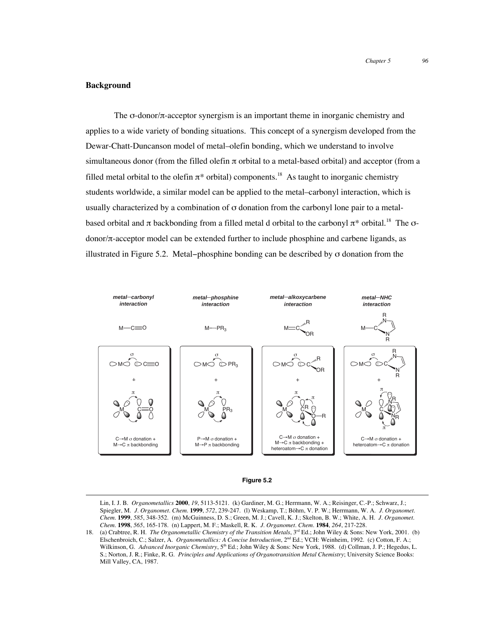#### **Background**

The  $\sigma$ -donor/ $\pi$ -acceptor synergism is an important theme in inorganic chemistry and applies to a wide variety of bonding situations. This concept of a synergism developed from the Dewar-Chatt-Duncanson model of metal–olefin bonding, which we understand to involve simultaneous donor (from the filled olefin  $\pi$  orbital to a metal-based orbital) and acceptor (from a filled metal orbital to the olefin  $\pi^*$  orbital) components.<sup>18</sup> As taught to inorganic chemistry students worldwide, a similar model can be applied to the metal–carbonyl interaction, which is usually characterized by a combination of σ donation from the carbonyl lone pair to a metalbased orbital and  $\pi$  backbonding from a filled metal d orbital to the carbonyl  $\pi^*$  orbital.<sup>18</sup> The  $\sigma$ donor/π-acceptor model can be extended further to include phosphine and carbene ligands, as illustrated in Figure 5.2. Metal–phosphine bonding can be described by  $\sigma$  donation from the



#### **Figure 5.2**

 Lin, I. J. B. *Organometallics* **<sup>2000</sup>**, *19*, 5113-5121. (k) Gardiner, M. G.; Herrmann, W. A.; Reisinger, C.-P.; Schwarz, J.; Spiegler, M. *J. Organomet. Chem.* **1999**, *572*, 239-247. (l) Weskamp, T.; Böhm, V. P. W.; Herrmann, W. A. *J. Organomet. Chem.* **1999**, *585*, 348-352. (m) McGuinness, D. S.; Green, M. J.; Cavell, K. J.; Skelton, B. W.; White, A. H. *J. Organomet. Chem.* **1998**, *565*, 165-178. (n) Lappert, M. F.; Maskell, R. K. *J. Organomet. Chem.* **1984**, *264*, 217-228.

<sup>18.</sup> (a) Crabtree, R. H. *The Organometallic Chemistry of the Transition Metals*, 3rd Ed.; John Wiley & Sons: New York, 2001. (b) Elschenbroich, C.; Salzer, A. *Organometallics: A Concise Introduction*, 2nd Ed.; VCH: Weinheim, 1992. (c) Cotton, F. A.; Wilkinson, G. *Advanced Inorganic Chemistry*, 5th Ed.; John Wiley & Sons: New York, 1988. (d) Collman, J. P.; Hegedus, L. S.; Norton, J. R.; Finke, R. G. *Principles and Applications of Organotransition Metal Chemistry*; University Science Books: Mill Valley, CA, 1987.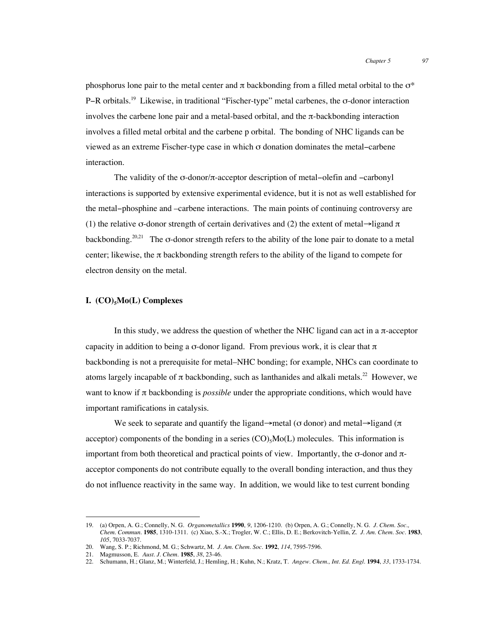phosphorus lone pair to the metal center and  $\pi$  backbonding from a filled metal orbital to the  $\sigma^*$ P−R orbitals.19 Likewise, in traditional "Fischer-type" metal carbenes, the σ-donor interaction involves the carbene lone pair and a metal-based orbital, and the π-backbonding interaction involves a filled metal orbital and the carbene p orbital. The bonding of NHC ligands can be viewed as an extreme Fischer-type case in which σ donation dominates the metal−carbene interaction.

The validity of the σ-donor/π-acceptor description of metal−olefin and −carbonyl interactions is supported by extensive experimental evidence, but it is not as well established for the metal−phosphine and –carbene interactions. The main points of continuing controversy are (1) the relative σ-donor strength of certain derivatives and (2) the extent of metal→ligand  $\pi$ backbonding.<sup>20,21</sup> The  $\sigma$ -donor strength refers to the ability of the lone pair to donate to a metal center; likewise, the  $\pi$  backbonding strength refers to the ability of the ligand to compete for electron density on the metal.

#### **I.** (CO)<sub>5</sub>Mo(L) Complexes

In this study, we address the question of whether the NHC ligand can act in a  $\pi$ -acceptor capacity in addition to being a  $\sigma$ -donor ligand. From previous work, it is clear that  $\pi$ backbonding is not a prerequisite for metal–NHC bonding; for example, NHCs can coordinate to atoms largely incapable of  $\pi$  backbonding, such as lanthanides and alkali metals.<sup>22</sup> However, we want to know if π backbonding is *possible* under the appropriate conditions, which would have important ramifications in catalysis.

We seek to separate and quantify the ligand→metal ( $\sigma$  donor) and metal→ligand ( $\pi$ ) acceptor) components of the bonding in a series  $(CO)$ ,  $Mo(L)$  molecules. This information is important from both theoretical and practical points of view. Importantly, the  $\sigma$ -donor and  $\pi$ acceptor components do not contribute equally to the overall bonding interaction, and thus they do not influence reactivity in the same way. In addition, we would like to test current bonding

 <sup>19.</sup> (a) Orpen, A. G.; Connelly, N. G. *Organometallics* **<sup>1990</sup>**, *9*, 1206-1210. (b) Orpen, A. G.; Connelly, N. G. *J. Chem. Soc., Chem. Commun.* **1985**, 1310-1311. (c) Xiao, S.-X.; Trogler, W. C.; Ellis, D. E.; Berkovitch-Yellin, Z. *J. Am. Chem. Soc.* **1983**, *105*, 7033-7037.

<sup>20.</sup> Wang, S. P.; Richmond, M. G.; Schwartz, M. *J. Am. Chem. Soc.* **1992**, *114*, 7595-7596.

<sup>21.</sup> Magmusson, E. *Aust. J. Chem.* **1985**, *38*, 23-46.

<sup>22.</sup> Schumann, H.; Glanz, M.; Winterfeld, J.; Hemling, H.; Kuhn, N.; Kratz, T. *Angew. Chem., Int. Ed. Engl.* **1994**, *33*, 1733-1734.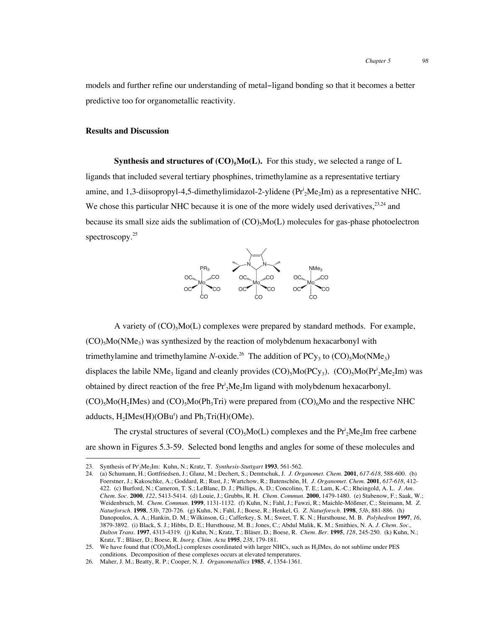models and further refine our understanding of metal−ligand bonding so that it becomes a better predictive too for organometallic reactivity.

#### **Results and Discussion**

**Synthesis and structures of**  $(CO)_{5}Mo(L)$ **.** For this study, we selected a range of L ligands that included several tertiary phosphines, trimethylamine as a representative tertiary amine, and 1,3-diisopropyl-4,5-dimethylimidazol-2-ylidene ( $Pr_2^iMe_2Im$ ) as a representative NHC. We chose this particular NHC because it is one of the more widely used derivatives,  $23,24$  and because its small size aids the sublimation of  $(CO)_{5}Mo(L)$  molecules for gas-phase photoelectron spectroscopy.<sup>25</sup>



A variety of  $(CO)_{5}MO(L)$  complexes were prepared by standard methods. For example,  $(CO)_{5}Mo(NMe_{3})$  was synthesized by the reaction of molybdenum hexacarbonyl with trimethylamine and trimethylamine *N*-oxide.<sup>26</sup> The addition of PC<sub>Y<sub>3</sub></sub> to (CO)<sub>5</sub>Mo(NMe<sub>3</sub>) displaces the labile NMe<sub>3</sub> ligand and cleanly provides  $(CO)_{5}Mo(PCy_{3})$ .  $(CO)_{5}Mo(Pr_{2}^{i}Me_{2}Im)$  was obtained by direct reaction of the free  $Pr_2^i$ Me<sub>2</sub>Im ligand with molybdenum hexacarbonyl.  $(CO)$ <sub>5</sub>Mo(H<sub>2</sub>IMes) and  $(CO)$ <sub>5</sub>Mo(Ph<sub>3</sub>Tri) were prepared from  $(CO)$ <sub>6</sub>Mo and the respective NHC adducts,  $H_2$ IMes $(H)$ (OBu<sup>t</sup>) and  $Ph_3Tri(H)$ (OMe).

The crystal structures of several  $(CO)_{5}Mo(L)$  complexes and the  $Pr_{2}^{i}Me_{2}Im$  free carbene are shown in Figures 5.3-59. Selected bond lengths and angles for some of these molecules and

<sup>23.</sup> Synthesis of Pr<sup>i</sup><sub>2</sub>Me<sub>2</sub>Im: Kuhn, N.; Kratz, T. *Synthesis-Stuttgart* **1993**, 561-562.

<sup>24.</sup> (a) Schumann, H.; Gottfriedsen, J.; Glanz, M.; Dechert, S.; Demtschuk, J. *J. Organomet. Chem.* **2001**, *617-618*, 588-600. (b) Foerstner, J.; Kakoschke, A.; Goddard, R.; Rust, J.; Wartchow, R.; Butenschön, H. *J. Organomet. Chem.* **2001**, *617-618*, 412- 422. (c) Burford, N.; Cameron, T. S.; LeBlanc, D. J.; Phillips, A. D.; Concolino, T. E.; Lam, K.-C.; Rheingold, A. L. *J. Am. Chem. Soc.* **2000**, *122*, 5413-5414. (d) Louie, J.; Grubbs, R. H. *Chem. Commun.* **2000**, 1479-1480. (e) Stabenow, F.; Saak, W.; Weidenbruch, M. *Chem. Commun.* **1999**, 1131-1132. (f) Kuhn, N.; Fahl, J.; Fawzi, R.; Maichle-Mößmer, C.; Steimann, M. *Z. Naturforsch.* **1998**, *53b*, 720-726. (g) Kuhn, N.; Fahl, J.; Boese, R.; Henkel, G. *Z. Naturforsch.* **1998**, *53b*, 881-886. (h) Danopoulos, A. A.; Hankin, D. M.; Wilkinson, G.; Cafferkey, S. M.; Sweet, T. K. N.; Hursthouse, M. B. *Polyhedron* **1997**, *16*, 3879-3892. (i) Black, S. J.; Hibbs, D. E.; Hursthouse, M. B.; Jones, C.; Abdul Malik, K. M.; Smithies, N. A. *J. Chem. Soc., Dalton Trans.* **1997**, 4313-4319. (j) Kuhn, N.; Kratz, T.; Bläser, D.; Boese, R. *Chem. Ber.* **1995**, *128*, 245-250. (k) Kuhn, N.; Kratz, T.; Bläser, D.; Boese, R. *Inorg. Chim. Acta* **1995**, *238*, 179-181.

<sup>25.</sup> We have found that (CO)<sub>5</sub>M<sub>o</sub>(L) complexes coordinated with larger NHCs, such as H<sub>2</sub>IMes, do not sublime under PES conditions. Decomposition of these complexes occurs at elevated temperatures.

<sup>26.</sup> Maher, J. M.; Beatty, R. P.; Cooper, N. J. *Organometallics* **1985**, *4*, 1354-1361.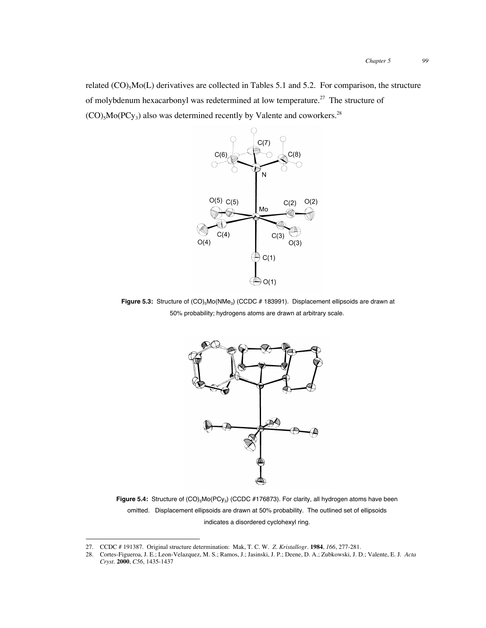related  $(CO)_{5}Mo(L)$  derivatives are collected in Tables 5.1 and 5.2. For comparison, the structure of molybdenum hexacarbonyl was redetermined at low temperature.<sup>27</sup> The structure of  $(CO)$ <sub>5</sub>Mo(PCy<sub>3</sub>) also was determined recently by Valente and coworkers.<sup>28</sup>



Figure 5.3: Structure of  $(CO)_{5}$ Mo(NMe<sub>3</sub>) (CCDC # 183991). Displacement ellipsoids are drawn at 50% probability; hydrogens atoms are drawn at arbitrary scale.



Figure 5.4: Structure of  $(CO)_{5}$ Mo(PCy<sub>3</sub>) (CCDC #176873). For clarity, all hydrogen atoms have been omitted. Displacement ellipsoids are drawn at 50% probability. The outlined set of ellipsoids indicates a disordered cyclohexyl ring.

 <sup>27.</sup> CCDC # 191387. Original structure determination: Mak, T. C. W. *Z. Kristallogr.* **<sup>1984</sup>**, *166*, 277-281.

<sup>28.</sup> Cortes-Figueroa, J. E.; Leon-Velazquez, M. S.; Ramos, J.; Jasinski, J. P.; Deene, D. A.; Zubkowski, J. D.; Valente, E. J. *Acta Cryst.* **2000**, *C56*, 1435-1437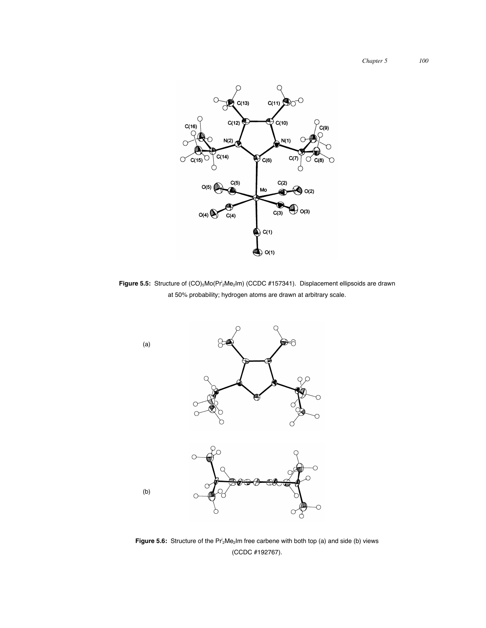*Chapter 5 100*



Figure 5.5: Structure of (CO)<sub>5</sub>Mo(Pr<sup>i</sup><sub>2</sub>Me<sub>2</sub>Im) (CCDC #157341). Displacement ellipsoids are drawn at 50% probability; hydrogen atoms are drawn at arbitrary scale.



**Figure 5.6:** Structure of the Pr<sup>i</sup><sub>2</sub>Me<sub>2</sub>Im free carbene with both top (a) and side (b) views (CCDC #192767).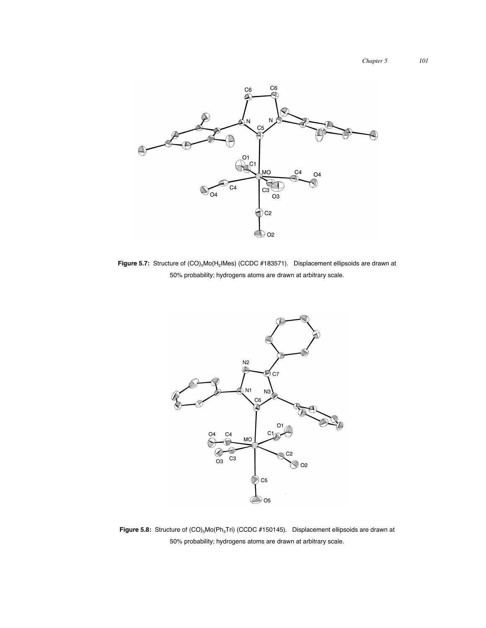

Figure 5.7: Structure of  $(CO)_{5}$ Mo(H<sub>2</sub>IMes) (CCDC #183571). Displacement ellipsoids are drawn at 50% probability; hydrogens atoms are drawn at arbitrary scale.



Figure 5.8: Structure of  $(CO)_{5}$ Mo(Ph<sub>3</sub>Tri) (CCDC #150145). Displacement ellipsoids are drawn at 50% probability; hydrogens atoms are drawn at arbitrary scale.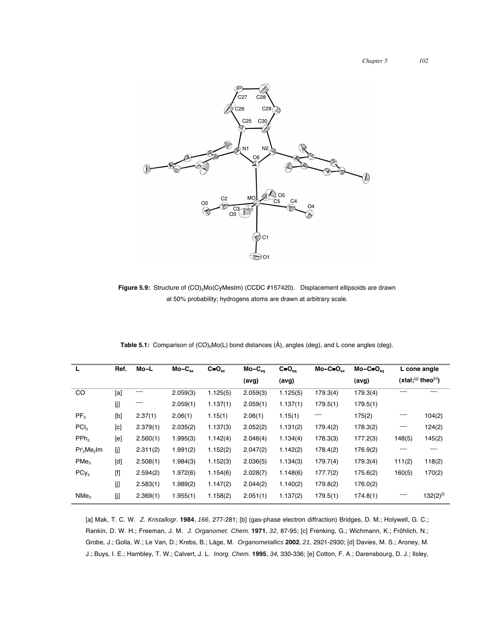

Figure 5.9: Structure of (CO)<sub>5</sub>Mo(CyMesIm) (CCDC #157420). Displacement ellipsoids are drawn at 50% probability; hydrogens atoms are drawn at arbitrary scale.

| L                | Ref.                                                                                                                                                                                                                                                                                                       | Mo-L     | $Mo-C_{ax}$ | $C = O_{ax}$ | $Mo-C_{eq}$ | $C = O_{eq}$ | $Mo-C=O_{ax}$ | $Mo-C=O_{eq}$ | L cone angle             |                |
|------------------|------------------------------------------------------------------------------------------------------------------------------------------------------------------------------------------------------------------------------------------------------------------------------------------------------------|----------|-------------|--------------|-------------|--------------|---------------|---------------|--------------------------|----------------|
|                  |                                                                                                                                                                                                                                                                                                            |          |             |              | (avg)       | (avg)        |               | (avg)         | $(xtal; [9]$ theo $[h]$  |                |
| CO               | [a]                                                                                                                                                                                                                                                                                                        |          | 2.059(3)    | 1.125(5)     | 2.059(3)    | 1.125(5)     | 179.3(4)      | 179.3(4)      |                          |                |
|                  | [j]                                                                                                                                                                                                                                                                                                        |          | 2.059(1)    | 1.137(1)     | 2.059(1)    | 1.137(1)     | 179.5(1)      | 179.5(1)      |                          |                |
| PF <sub>3</sub>  | [b]                                                                                                                                                                                                                                                                                                        | 2.37(1)  | 2.06(1)     | 1.15(1)      | 2.06(1)     | 1.15(1)      |               | 175(2)        | $\overline{\phantom{0}}$ | 104(2)         |
| PCI <sub>3</sub> | [c]                                                                                                                                                                                                                                                                                                        | 2.379(1) | 2.035(2)    | 1.137(3)     | 2.052(2)    | 1.131(2)     | 179.4(2)      | 178.3(2)      | $\overline{\phantom{0}}$ | 124(2)         |
| PPh <sub>3</sub> | [e]                                                                                                                                                                                                                                                                                                        | 2.560(1) | 1.995(3)    | 1.142(4)     | 2.046(4)    | 1.134(4)     | 178.3(3)      | 177.2(3)      | 148(5)                   | 145(2)         |
| $Pr^i_2Me_2$ Im  | [j]                                                                                                                                                                                                                                                                                                        | 2.311(2) | 1.991(2)    | 1.152(2)     | 2.047(2)    | 1.142(2)     | 178.4(2)      | 176.9(2)      |                          |                |
| PMe <sub>3</sub> | [d]                                                                                                                                                                                                                                                                                                        | 2.508(1) | 1.984(3)    | 1.152(3)     | 2.036(5)    | 1.134(3)     | 179.7(4)      | 179.3(4)      | 111(2)                   | 118(2)         |
| $PCy_3$          | $[!]% \centering \subfloat[\centering]{{\includegraphics[width=0.28\textwidth]{figs-pr2.png}}% \qquad \subfloat[\centering]{{\includegraphics[width=0.28\textwidth]{figs-pr2.png}}% \caption{The 3D maps of the estimators in the estimators in the estimators in the right hand is 1.}% \label{fig:py2}%$ | 2.594(2) | 1.972(6)    | 1.154(6)     | 2.028(7)    | 1.148(6)     | 177.7(2)      | 175.6(2)      | 160(5)                   | 170(2)         |
|                  | [j]                                                                                                                                                                                                                                                                                                        | 2.583(1) | 1.989(2)    | 1.147(2)     | 2.044(2)    | 1.140(2)     | 179.8(2)      | 176.0(2)      |                          |                |
| NMe <sub>3</sub> | [j]                                                                                                                                                                                                                                                                                                        | 2.369(1) | 1.955(1)    | 1.158(2)     | 2.051(1)    | 1.137(2)     | 179.5(1)      | 174.8(1)      |                          | $132(2)^{[1]}$ |

**Table 5.1:** Comparison of (CO)<sub>5</sub>Mo(L) bond distances (Å), angles (deg), and L cone angles (deg).

[a] Mak, T. C. W. *Z. Kristallogr.* **1984**, *166*, 277-281; [b] (gas-phase electron diffraction) Bridges, D. M.; Holywell, G. C.; Rankin, D. W. H.; Freeman, J. M. *J. Organomet. Chem.* **1971**, *32*, 87-95; [c] Frenking, G.; Wichmann, K.; Fröhlich, N.; Grobe, J.; Golla, W.; Le Van, D.; Krebs, B.; Läge, M. *Organometallics* **2002**, *21*, 2921-2930; [d] Davies, M. S.; Aroney, M. J.; Buys, I. E.; Hambley, T. W.; Calvert, J. L. *Inorg. Chem.* **1995**, *34*, 330-336; [e] Cotton, F. A.; Darensbourg, D. J.; Ilsley,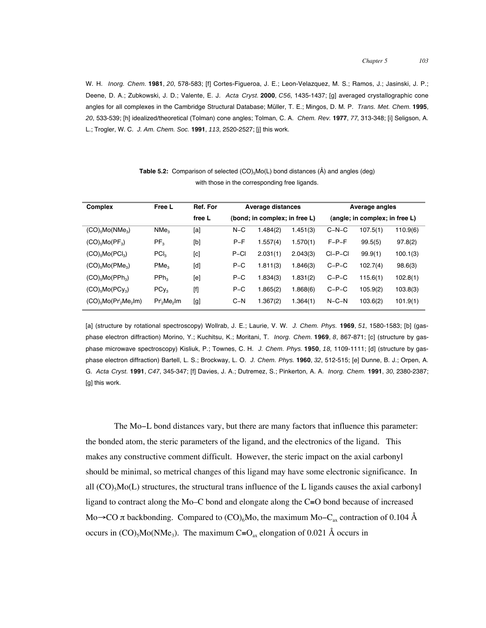W. H. *Inorg. Chem.* **1981**, *20*, 578-583; [f] Cortes-Figueroa, J. E.; Leon-Velazquez, M. S.; Ramos, J.; Jasinski, J. P.; Deene, D. A.; Zubkowski, J. D.; Valente, E. J. *Acta Cryst.* **2000**, *C56*, 1435-1437; [g] averaged crystallographic cone angles for all complexes in the Cambridge Structural Database; Müller, T. E.; Mingos, D. M. P. *Trans. Met. Chem.* **1995**, *20*, 533-539; [h] idealized/theoretical (Tolman) cone angles; Tolman, C. A. *Chem. Rev.* **1977**, *77*, 313-348; [i] Seligson, A. L.; Trogler, W. C. *J. Am. Chem. Soc.* **1991**, *113*, 2520-2527; [j] this work.

| <b>Complex</b>                   | Free L           | Ref. For | Average distances             |          |          | Average angles                 |          |          |  |
|----------------------------------|------------------|----------|-------------------------------|----------|----------|--------------------------------|----------|----------|--|
|                                  |                  | free L   | (bond; in complex; in free L) |          |          | (angle; in complex; in free L) |          |          |  |
| $(CO)_{5}Mo(NMe_{3})$            | NMe <sub>3</sub> | [a]      | $N-C$                         | 1.484(2) | 1.451(3) | $C-N-C$                        | 107.5(1) | 110.9(6) |  |
| $(CO)_{5}Mo(PF_{3})$             | PF <sub>3</sub>  | [b]      | $P-F$                         | 1.557(4) | 1.570(1) | $F-P-F$                        | 99.5(5)  | 97.8(2)  |  |
| $(CO)_{5}$ Mo $(PCl_{3})$        | PCI <sub>3</sub> | [c]      | $P-CI$                        | 2.031(1) | 2.043(3) | $CI-P-CI$                      | 99.9(1)  | 100.1(3) |  |
| $(CO)_{5}Mo(PMe_{3})$            | PMe <sub>3</sub> | [d]      | $P-C$                         | 1.811(3) | 1.846(3) | $C-P-C$                        | 102.7(4) | 98.6(3)  |  |
| $(CO)_{5}Mo(PPh_{3})$            | PPh <sub>3</sub> | [e]      | $P-C$                         | 1.834(3) | 1.831(2) | $C-P-C$                        | 115.6(1) | 102.8(1) |  |
| $(CO)_{5}Mo(PCV_{3})$            | $PCy_3$          | [f]      | $P-C$                         | 1.865(2) | 1.868(6) | $C-P-C$                        | 105.9(2) | 103.8(3) |  |
| $(CO)_{5}Mo(Pr^{1}_{2}Me_{2}Im)$ | $Pr^1_2Me_2$ Im  | [g]      | $C-N$                         | 1.367(2) | 1.364(1) | $N-C-N$                        | 103.6(2) | 101.9(1) |  |

**Table 5.2:** Comparison of selected  $(CO)_{5}MO(L)$  bond distances  $(\hat{A})$  and angles (deg) with those in the corresponding free ligands.

[a] (structure by rotational spectroscopy) Wollrab, J. E.; Laurie, V. W. *J. Chem. Phys.* **1969**, *51*, 1580-1583; [b] (gasphase electron diffraction) Morino, Y.; Kuchitsu, K.; Moritani, T. *Inorg. Chem.* **1969**, *8*, 867-871; [c] (structure by gasphase microwave spectroscopy) Kisliuk, P.; Townes, C. H. *J. Chem. Phys.* **1950**, *18*, 1109-1111; [d] (structure by gasphase electron diffraction) Bartell, L. S.; Brockway, L. O. *J. Chem. Phys.* **1960**, *32*, 512-515; [e] Dunne, B. J.; Orpen, A. G. *Acta Cryst.* **1991**, *C47*, 345-347; [f] Davies, J. A.; Dutremez, S.; Pinkerton, A. A. *Inorg. Chem.* **1991**, *30*, 2380-2387; [g] this work.

The Mo−L bond distances vary, but there are many factors that influence this parameter: the bonded atom, the steric parameters of the ligand, and the electronics of the ligand. This makes any constructive comment difficult. However, the steric impact on the axial carbonyl should be minimal, so metrical changes of this ligand may have some electronic significance. In all  $(CO)$ <sub>5</sub>Mo(L) structures, the structural trans influence of the L ligands causes the axial carbonyl ligand to contract along the Mo–C bond and elongate along the C≡O bond because of increased Mo→CO  $\pi$  backbonding. Compared to (CO)<sub>6</sub>Mo, the maximum Mo–C<sub>ax</sub> contraction of 0.104 Å occurs in  $(CO)_{5}Mo(NMe_{3})$ . The maximum C≡O<sub>ax</sub> elongation of 0.021 Å occurs in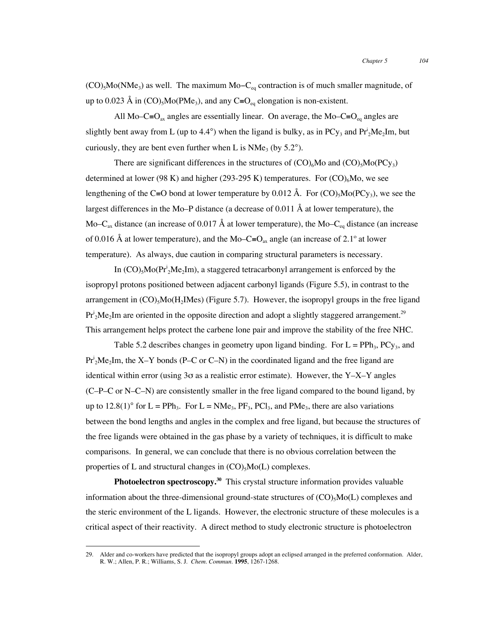$(CO)_{5}Mo(NMe_{3})$  as well. The maximum Mo– $C_{eq}$  contraction is of much smaller magnitude, of up to 0.023 Å in  $(CO)_{5}Mo(PMe_{3})$ , and any  $C=O_{eq}$  elongation is non-existent.

All Mo–C≡O<sub>ax</sub> angles are essentially linear. On average, the Mo–C≡O<sub>eq</sub> angles are slightly bent away from L (up to 4.4°) when the ligand is bulky, as in  $PCy_3$  and  $Pr_2^1Me_2Im$ , but curiously, they are bent even further when L is  $NMe<sub>3</sub>$  (by 5.2°).

There are significant differences in the structures of  $(CO)_{6}$ Mo and  $(CO)_{5}MO(PC_{y_{3}})$ determined at lower (98 K) and higher (293-295 K) temperatures. For  $(CO)_{6}$ Mo, we see lengthening of the C≡O bond at lower temperature by 0.012 Å. For (CO)<sub>5</sub>Mo(PCy<sub>3</sub>), we see the largest differences in the Mo–P distance (a decrease of 0.011  $\AA$  at lower temperature), the Mo–C<sub>ax</sub> distance (an increase of 0.017 Å at lower temperature), the Mo–C<sub>eq</sub> distance (an increase of 0.016 Å at lower temperature), and the Mo–C≡O<sub>ax</sub> angle (an increase of 2.1° at lower temperature). As always, due caution in comparing structural parameters is necessary.

In  $(CO)$ <sub>5</sub>Mo( $Pr^i_2Me_2Im$ ), a staggered tetracarbonyl arrangement is enforced by the isopropyl protons positioned between adjacent carbonyl ligands (Figure 5.5), in contrast to the arrangement in  $(CO)$ <sub>5</sub>Mo( $H_2$ IMes) (Figure 5.7). However, the isopropyl groups in the free ligand  $Pr_2^i$ Me<sub>2</sub>Im are oriented in the opposite direction and adopt a slightly staggered arrangement.<sup>29</sup> This arrangement helps protect the carbene lone pair and improve the stability of the free NHC.

Table 5.2 describes changes in geometry upon ligand binding. For  $L = PPh_3$ ,  $PCy_3$ , and  $Pr_2^i$ Me<sub>2</sub>Im, the X–Y bonds (P–C or C–N) in the coordinated ligand and the free ligand are identical within error (using  $3\sigma$  as a realistic error estimate). However, the Y–X–Y angles (C–P–C or N–C–N) are consistently smaller in the free ligand compared to the bound ligand, by up to 12.8(1)<sup>o</sup> for  $L = PPh_3$ . For  $L = NMe_3$ ,  $PF_3$ ,  $PCl_3$ , and  $PMe_3$ , there are also variations between the bond lengths and angles in the complex and free ligand, but because the structures of the free ligands were obtained in the gas phase by a variety of techniques, it is difficult to make comparisons. In general, we can conclude that there is no obvious correlation between the properties of L and structural changes in  $(CO)$ <sub>5</sub>Mo(L) complexes.

**Photoelectron spectroscopy.<sup>30</sup>** This crystal structure information provides valuable information about the three-dimensional ground-state structures of  $(CO)_{5}Mo(L)$  complexes and the steric environment of the L ligands. However, the electronic structure of these molecules is a critical aspect of their reactivity. A direct method to study electronic structure is photoelectron

 <sup>29.</sup> Alder and co-workers have predicted that the isopropyl groups adopt an eclipsed arranged in the preferred conformation. Alder, R. W.; Allen, P. R.; Williams, S. J. *Chem. Commun.* **1995**, 1267-1268.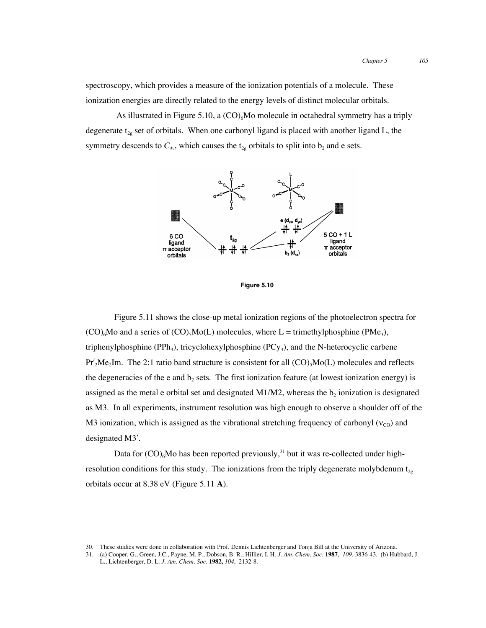spectroscopy, which provides a measure of the ionization potentials of a molecule. These ionization energies are directly related to the energy levels of distinct molecular orbitals.

As illustrated in Figure 5.10, a  $(CO)_{6}$ Mo molecule in octahedral symmetry has a triply degenerate  $t_{2g}$  set of orbitals. When one carbonyl ligand is placed with another ligand L, the symmetry descends to  $C_{4v}$ , which causes the  $t_{2g}$  orbitals to split into  $b_2$  and e sets.



**Figure 5.10**

Figure 5.11 shows the close-up metal ionization regions of the photoelectron spectra for  $(CO)_{6}$ Mo and a series of  $(CO)_{5}$ Mo(L) molecules, where L = trimethylphosphine (PMe<sub>3</sub>), triphenylphosphine (PPh<sub>3</sub>), tricyclohexylphosphine (PCy<sub>3</sub>), and the N-heterocyclic carbene Pr<sup>*i*</sup><sub>2</sub>Me<sub>2</sub>Im. The 2:1 ratio band structure is consistent for all (CO)<sub>5</sub>Mo(L) molecules and reflects the degeneracies of the e and  $b<sub>2</sub>$  sets. The first ionization feature (at lowest ionization energy) is assigned as the metal e orbital set and designated M1/M2, whereas the  $b_2$  ionization is designated as M3. In all experiments, instrument resolution was high enough to observe a shoulder off of the M3 ionization, which is assigned as the vibrational stretching frequency of carbonyl ( $v_{\text{CO}}$ ) and designated M3′.

Data for  $(CO)_{6}$ Mo has been reported previously,<sup>31</sup> but it was re-collected under highresolution conditions for this study. The ionizations from the triply degenerate molybdenum  $t_{2g}$ orbitals occur at 8.38 eV (Figure 5.11 **A**).

 <sup>30.</sup> These studies were done in collaboration with Prof. Dennis Lichtenberger and Tonja Bill at the University of Arizona.

<sup>31.</sup> (a) Cooper, G., Green, J.C., Payne, M. P., Dobson, B. R., Hillier, I. H. *J. Am. Chem. Soc.* **1987**, *109*, 3836-43. (b) Hubbard, J. L., Lichtenberger, D. L. *J. Am. Chem. Soc.* **1982,** *104*, 2132-8.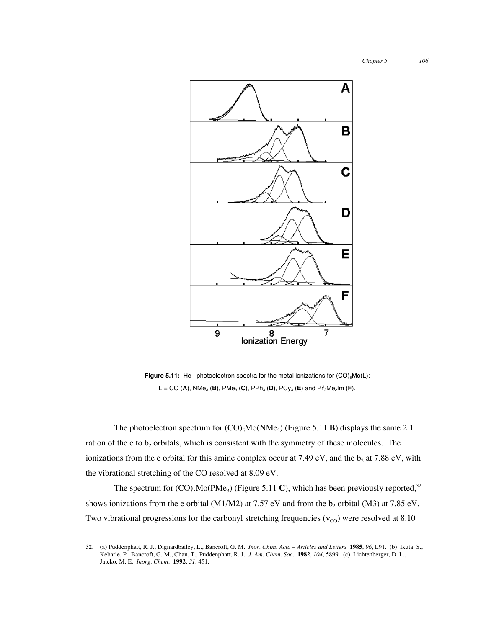

**Figure 5.11:** He I photoelectron spectra for the metal ionizations for  $(CO)_{5}MO(L)$ ; L = CO (**A**), NMe3 (**B**), PMe3 (**C**), PPh3 (**D**), PCy3 (**E**) and Pri 2Me2Im (**F**).

The photoelectron spectrum for  $(CO)_{5}Mo(NMe_{3})$  (Figure 5.11 **B**) displays the same 2:1 ration of the e to  $b_2$  orbitals, which is consistent with the symmetry of these molecules. The ionizations from the e orbital for this amine complex occur at 7.49 eV, and the  $b_2$  at 7.88 eV, with the vibrational stretching of the CO resolved at 8.09 eV.

The spectrum for  $(CO)_{5}Mo(PMe_{3})$  (Figure 5.11 C), which has been previously reported,<sup>32</sup> shows ionizations from the e orbital (M1/M2) at 7.57 eV and from the  $b_2$  orbital (M3) at 7.85 eV. Two vibrational progressions for the carbonyl stretching frequencies ( $v_{\text{CO}}$ ) were resolved at 8.10

 <sup>32.</sup> (a) Puddenphatt, R. J., Dignardbailey, L., Bancroft, G. M. *Inor. Chim. Acta – Articles and Letters* **<sup>1985</sup>**, *96*, L91. (b) Ikuta, S., Kebarle, P., Bancroft, G. M., Chan, T., Puddenphatt, R. J. *J. Am. Chem. Soc*. **1982**, *104*, 5899. (c) Lichtenberger, D. L., Jatcko, M. E. *Inorg. Chem*. **1992**, *31*, 451.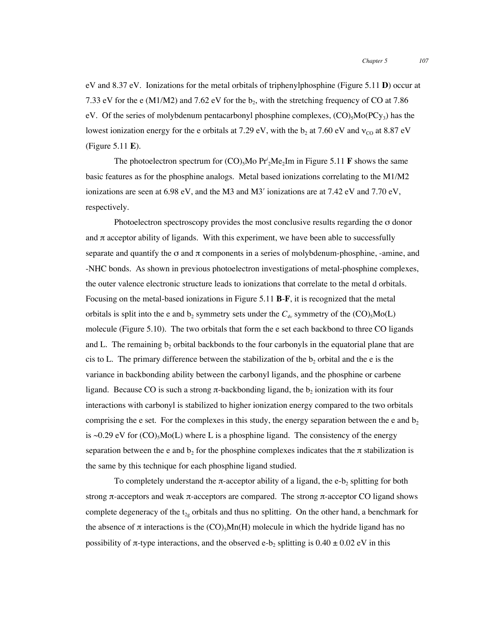eV and 8.37 eV. Ionizations for the metal orbitals of triphenylphosphine (Figure 5.11 **D**) occur at 7.33 eV for the e (M1/M2) and 7.62 eV for the  $b_2$ , with the stretching frequency of CO at 7.86 eV. Of the series of molybdenum pentacarbonyl phosphine complexes,  $(CO)$ <sub>5</sub>Mo(PCy<sub>3</sub>) has the lowest ionization energy for the e orbitals at 7.29 eV, with the  $b_2$  at 7.60 eV and  $v_{\text{CO}}$  at 8.87 eV (Figure 5.11 **E**).

The photoelectron spectrum for  $(CO)$ <sub>5</sub>Mo  $Pr'_2Me_2Im$  in Figure 5.11 **F** shows the same basic features as for the phosphine analogs. Metal based ionizations correlating to the M1/M2 ionizations are seen at 6.98 eV, and the M3 and M3′ ionizations are at 7.42 eV and 7.70 eV, respectively.

Photoelectron spectroscopy provides the most conclusive results regarding the σ donor and  $\pi$  acceptor ability of ligands. With this experiment, we have been able to successfully separate and quantify the  $\sigma$  and  $\pi$  components in a series of molybdenum-phosphine, -amine, and -NHC bonds. As shown in previous photoelectron investigations of metal-phosphine complexes, the outer valence electronic structure leads to ionizations that correlate to the metal d orbitals. Focusing on the metal-based ionizations in Figure 5.11 **B**-**F**, it is recognized that the metal orbitals is split into the e and  $b_2$  symmetry sets under the  $C_{4v}$  symmetry of the  $(CO)_{5}MO(L)$ molecule (Figure 5.10). The two orbitals that form the e set each backbond to three CO ligands and L. The remaining  $b_2$  orbital backbonds to the four carbonyls in the equatorial plane that are cis to L. The primary difference between the stabilization of the  $b_2$  orbital and the e is the variance in backbonding ability between the carbonyl ligands, and the phosphine or carbene ligand. Because CO is such a strong  $\pi$ -backbonding ligand, the  $b_2$  ionization with its four interactions with carbonyl is stabilized to higher ionization energy compared to the two orbitals comprising the e set. For the complexes in this study, the energy separation between the e and  $b<sub>2</sub>$ is ~0.29 eV for  $(CO)_{5}Mo(L)$  where L is a phosphine ligand. The consistency of the energy separation between the e and  $b_2$  for the phosphine complexes indicates that the  $\pi$  stabilization is the same by this technique for each phosphine ligand studied.

To completely understand the  $\pi$ -acceptor ability of a ligand, the e-b<sub>2</sub> splitting for both strong π-acceptors and weak π-acceptors are compared. The strong π-acceptor CO ligand shows complete degeneracy of the  $t_{2g}$  orbitals and thus no splitting. On the other hand, a benchmark for the absence of  $\pi$  interactions is the (CO)<sub>5</sub>Mn(H) molecule in which the hydride ligand has no possibility of  $\pi$ -type interactions, and the observed e-b<sub>2</sub> splitting is 0.40  $\pm$  0.02 eV in this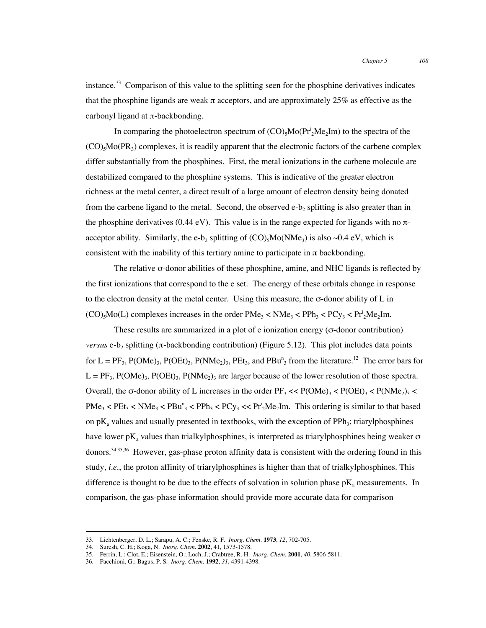instance. $33$  Comparison of this value to the splitting seen for the phosphine derivatives indicates that the phosphine ligands are weak  $\pi$  acceptors, and are approximately 25% as effective as the carbonyl ligand at π-backbonding.

In comparing the photoelectron spectrum of  $(CO)$ <sub>5</sub>Mo(Pr<sup>*i*</sup><sub>2</sub>Me<sub>2</sub>Im) to the spectra of the  $(CO)_{5}Mo(PR_{3})$  complexes, it is readily apparent that the electronic factors of the carbene complex differ substantially from the phosphines. First, the metal ionizations in the carbene molecule are destabilized compared to the phosphine systems. This is indicative of the greater electron richness at the metal center, a direct result of a large amount of electron density being donated from the carbene ligand to the metal. Second, the observed  $e-b$ , splitting is also greater than in the phosphine derivatives (0.44 eV). This value is in the range expected for ligands with no  $\pi$ acceptor ability. Similarly, the e-b<sub>2</sub> splitting of (CO)<sub>5</sub>Mo(NMe<sub>3</sub>) is also  $\sim 0.4$  eV, which is consistent with the inability of this tertiary amine to participate in  $\pi$  backbonding.

The relative σ-donor abilities of these phosphine, amine, and NHC ligands is reflected by the first ionizations that correspond to the e set. The energy of these orbitals change in response to the electron density at the metal center. Using this measure, the  $\sigma$ -donor ability of L in  $(CO)_5$ Mo(L) complexes increases in the order  $PMe_3 < NMe_3 < PPh_3 < PCy_3 < Pr<sup>i</sup>2Me<sub>2</sub>Im$ .

These results are summarized in a plot of e ionization energy (σ-donor contribution) *versus* e-b<sub>2</sub> splitting ( $\pi$ -backbonding contribution) (Figure 5.12). This plot includes data points for  $L = PF_3$ ,  $P(OMe)_3$ ,  $P(OEt)_3$ ,  $P(NMe_2)_3$ ,  $PEt_3$ , and  $PBu^{\text{n}}_3$  from the literature.<sup>12</sup> The error bars for  $L = PF_3$ ,  $P(OME)_3$ ,  $P(ONE)_3$ ,  $P(NMe_2)_3$  are larger because of the lower resolution of those spectra. Overall, the σ-donor ability of L increases in the order  $PF_3 \ll P(OME)_3 \ll P(OME)_3 \ll P( NMe_2)_3 \ll$  $\text{PMe}_3$  <  $\text{PEt}_3$  <  $\text{NMe}_3$  <  $\text{PBu}^n_3$  <  $\text{PPh}_3$  <  $\text{PCy}_3$  <<  $\text{Pr}^1_2\text{Me}_2\text{Im}$ . This ordering is similar to that based on  $pK_a$  values and usually presented in textbooks, with the exception of PPh<sub>3</sub>; triarylphosphines have lower  $pK_a$  values than trialkylphosphines, is interpreted as triarylphosphines being weaker  $\sigma$ donors.<sup>34,35,36</sup> However, gas-phase proton affinity data is consistent with the ordering found in this study, *i.e.*, the proton affinity of triarylphosphines is higher than that of trialkylphosphines. This difference is thought to be due to the effects of solvation in solution phase  $pK_a$  measurements. In comparison, the gas-phase information should provide more accurate data for comparison

 <sup>33.</sup> Lichtenberger, D. L.; Sarapu, A. C.; Fenske, R. F. *Inorg. Chem.* **<sup>1973</sup>**, *12*, 702-705.

<sup>34.</sup> Suresh, C. H.; Koga, N. *Inorg. Chem.* **2002**, 41, 1573-1578.

<sup>35.</sup> Perrin, L.; Clot, E.; Eisenstein, O.; Loch, J.; Crabtree, R. H. *Inorg. Chem.* **2001**, *40*, 5806-5811.

<sup>36.</sup> Pacchioni, G.; Bagus, P. S. *Inorg. Chem.* **1992**, *31*, 4391-4398.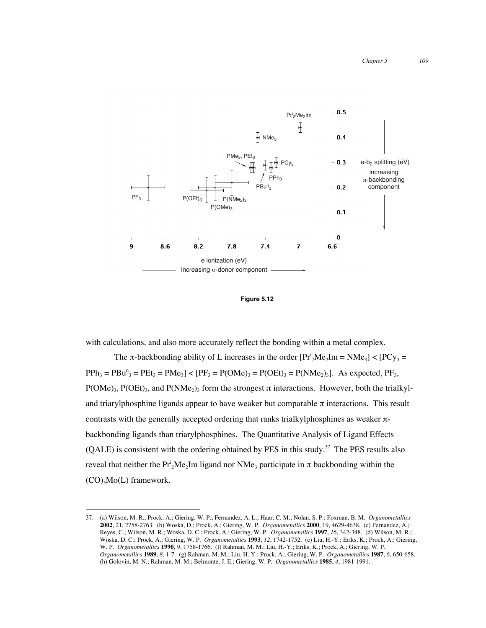

**Figure 5.12**

with calculations, and also more accurately reflect the bonding within a metal complex.

The  $\pi$ -backbonding ability of L increases in the order  $[Pr_2^iMe_2Im = NMe_3] < [PCy_3 =$  $PPh_3 = PBu^{\text{n}}_3 = PEt_3 = PMe_3$ ] <  $[PF_3 = P(OME)_3 = P(OEt)_3 = P(NMe_2)_3]$ . As expected,  $PF_3$ ,  $P(OME)_3$ ,  $P(OEt)_3$ , and  $P(NMe_2)_3$  form the strongest  $\pi$  interactions. However, both the trialkyland triarylphosphine ligands appear to have weaker but comparable  $\pi$  interactions. This result contrasts with the generally accepted ordering that ranks trialkylphosphines as weaker πbackbonding ligands than triarylphosphines. The Quantitative Analysis of Ligand Effects  $(QALE)$  is consistent with the ordering obtained by PES in this study.<sup>37</sup> The PES results also reveal that neither the Pr<sup>i</sup><sub>2</sub>Me<sub>2</sub>Im ligand nor NMe<sub>3</sub> participate in π backbonding within the  $(CO)_{5}Mo(L)$  framework.

 <sup>37.</sup> (a) Wilson, M. R.; Prock, A.; Giering, W. P.; Fernandez, A. L.; Haar, C. M.; Nolan, S. P.; Foxman, B. M. *Organometallics* **2002**, 21, 2758-2763. (b) Woska, D.; Prock, A.; Giering, W. P. *Organometallics* **2000**, 19, 4629-4638. (c) Fernandez, A.; Reyes, C.; Wilson, M. R.; Woska, D. C.; Prock, A.; Giering, W. P. *Organometallics* **1997**, *16*, 342-348. (d) Wilson, M. R.; Woska, D. C.; Prock, A.; Giering, W. P. *Organometallics* **1993**, *12*, 1742-1752. (e) Liu, H.-Y.; Eriks, K.; Prock, A.; Giering, W. P. *Organometallics* **1990**, *9*, 1758-1766. (f) Rahman, M. M.; Liu, H.-Y.; Eriks, K.; Prock, A.; Giering, W. P. *Organometallics* **1989**, *8*, 1-7. (g) Rahman, M. M.; Liu, H. Y.; Prock, A.; Giering, W. P. *Organometallics* **1987**, *6*, 650-658. (h) Golovin, M. N.; Rahman, M. M.; Belmonte, J. E.; Giering, W. P. *Organometallics* **1985**, *4*, 1981-1991.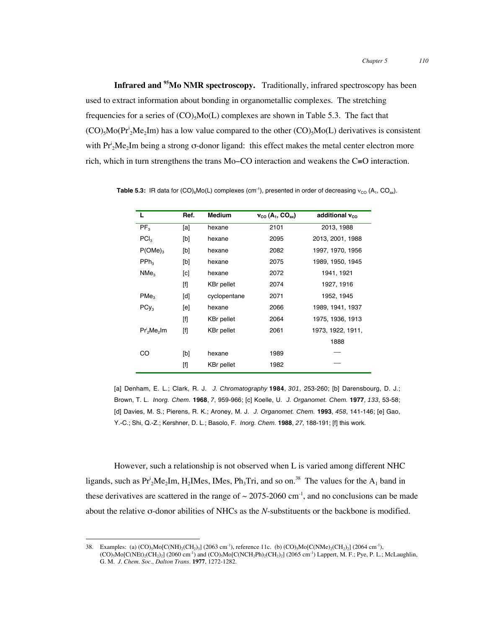**Infrared and 95Mo NMR spectroscopy.** Traditionally, infrared spectroscopy has been used to extract information about bonding in organometallic complexes. The stretching frequencies for a series of  $(CO)$ <sub>5</sub>M<sub>o</sub> $(L)$  complexes are shown in Table 5.3. The fact that  $(CO)_{5}Mo(Pr_{2}^{\dagger}Me_{2}Im)$  has a low value compared to the other  $(CO)_{5}Mo(L)$  derivatives is consistent with  $Pr_2^iMe_2Im$  being a strong  $\sigma$ -donor ligand: this effect makes the metal center electron more rich, which in turn strengthens the trans Mo−CO interaction and weakens the C≡O interaction.

| L                                   | Ref.                                                                                                                                                                                                                    | <b>Medium</b>     | $v_{\rm co}$ (A <sub>1</sub> , CO <sub>ax</sub> ) | additional $v_{\text{co}}$ |
|-------------------------------------|-------------------------------------------------------------------------------------------------------------------------------------------------------------------------------------------------------------------------|-------------------|---------------------------------------------------|----------------------------|
| PF <sub>3</sub>                     | [a]                                                                                                                                                                                                                     | hexane            | 2101                                              | 2013, 1988                 |
| PCI <sub>3</sub>                    | [b]                                                                                                                                                                                                                     | hexane            | 2095                                              | 2013, 2001, 1988           |
| $P(OME)_{3}$                        | [b]                                                                                                                                                                                                                     | hexane            | 2082                                              | 1997, 1970, 1956           |
| $PPh_3$                             | [b]                                                                                                                                                                                                                     | hexane            | 2075                                              | 1989, 1950, 1945           |
| NMe <sub>3</sub>                    | [c]                                                                                                                                                                                                                     | hexane            | 2072                                              | 1941, 1921                 |
|                                     |                                                                                                                                                                                                                         | <b>KBr</b> pellet | 2074                                              | 1927, 1916                 |
| PMe <sub>3</sub>                    | [d]                                                                                                                                                                                                                     | cyclopentane      | 2071                                              | 1952, 1945                 |
| $PCy_3$                             | [e]                                                                                                                                                                                                                     | hexane            | 2066                                              | 1989, 1941, 1937           |
|                                     | $[1]$                                                                                                                                                                                                                   | <b>KBr</b> pellet | 2064                                              | 1975, 1936, 1913           |
| Pr' <sub>2</sub> Me <sub>2</sub> Im | $[f]$                                                                                                                                                                                                                   | <b>KBr</b> pellet | 2061                                              | 1973, 1922, 1911,          |
|                                     |                                                                                                                                                                                                                         |                   |                                                   | 1888                       |
| CO                                  | [b]                                                                                                                                                                                                                     | hexane            | 1989                                              |                            |
|                                     | $[f] % \centering % {\includegraphics[width=0.9\textwidth]{Figures/fig1a0.pdf}} \caption{The figure shows the number of times, and the number of times, and the number of times, respectively.} \label{fig:fig:fig:1b}$ | <b>KBr</b> pellet | 1982                                              |                            |

**Table 5.3:** IR data for  $(CO)_{6}MO(L)$  complexes (cm<sup>-1</sup>), presented in order of decreasing  $v_{CO}$  (A<sub>1</sub>, CO<sub>ax</sub>).

[a] Denham, E. L.; Clark, R. J. *J. Chromatography* **1984**, *301*, 253-260; [b] Darensbourg, D. J.; Brown, T. L. *Inorg. Chem.* **1968**, *7*, 959-966; [c] Koelle, U. *J. Organomet. Chem.* **1977**, *133*, 53-58; [d] Davies, M. S.; Pierens, R. K.; Aroney, M. J. *J. Organomet. Chem.* **1993**, *458*, 141-146; [e] Gao, Y.-C.; Shi, Q.-Z.; Kershner, D. L.; Basolo, F. *Inorg. Chem.* **1988**, *27*, 188-191; [f] this work.

However, such a relationship is not observed when L is varied among different NHC ligands, such as  $Pr_2^1Me_2Im$ ,  $H_2Im$ es, IMes,  $Ph_3Tri$ , and so on.<sup>38</sup> The values for the  $A_1$  band in these derivatives are scattered in the range of  $\sim$  2075-2060 cm<sup>-1</sup>, and no conclusions can be made about the relative σ-donor abilities of NHCs as the *N*-substituents or the backbone is modified.

<sup>38.</sup> Examples: (a) (CO)<sub>5</sub>Mo[C(NH)<sub>2</sub>(CH<sub>2</sub>)<sub>3</sub>] (2063 cm<sup>-1</sup>), reference 11c. (b) (CO)<sub>5</sub>Mo[C(NMe)<sub>2</sub>(CH<sub>2</sub>)<sub>2</sub>] (2064 cm<sup>-1</sup>),  $(CO)_{5}Mo[C(NEt)_{2}(CH_{2})_{2}]$  (2060 cm<sup>-1</sup>) and  $(CO)_{5}Mo[C(NCH_{2}Ph)_{2}(CH_{2})_{2}]$  (2065 cm<sup>-1</sup>) Lappert, M. F.; Pye, P. L.; McLaughlin, G. M. *J. Chem. Soc., Dalton Trans.* **1977**, 1272-1282.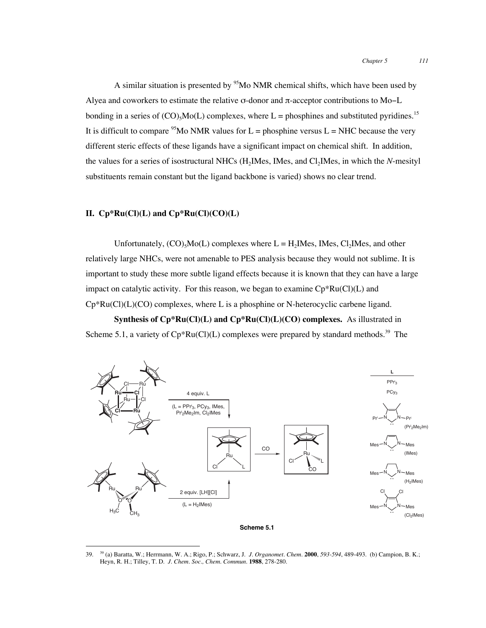A similar situation is presented by  $95$ Mo NMR chemical shifts, which have been used by Alyea and coworkers to estimate the relative σ-donor and π-acceptor contributions to Mo−L bonding in a series of  $(CO)$ <sub>5</sub>Mo(L) complexes, where L = phosphines and substituted pyridines.<sup>15</sup> It is difficult to compare <sup>95</sup>Mo NMR values for L = phosphine versus L = NHC because the very different steric effects of these ligands have a significant impact on chemical shift. In addition, the values for a series of isostructural NHCs (H<sub>2</sub>IMes, IMes, and Cl<sub>2</sub>IMes, in which the *N*-mesityl substituents remain constant but the ligand backbone is varied) shows no clear trend.

### **II. Cp\*Ru(Cl)(L) and Cp\*Ru(Cl)(CO)(L)**

Unfortunately,  $(CO)$ <sub>5</sub>Mo(L) complexes where  $L = H_2$ IMes, IMes, Cl<sub>2</sub>IMes, and other relatively large NHCs, were not amenable to PES analysis because they would not sublime. It is important to study these more subtle ligand effects because it is known that they can have a large impact on catalytic activity. For this reason, we began to examine  $Cp*Ru(Cl)(L)$  and  $Cp*Ru(Cl)(L)(CO)$  complexes, where L is a phosphine or N-heterocyclic carbene ligand.

**Synthesis of Cp\*Ru(Cl)(L) and Cp\*Ru(Cl)(L)(CO) complexes.** As illustrated in Scheme 5.1, a variety of  $Cp*Ru(Cl)(L)$  complexes were prepared by standard methods.<sup>39</sup> The



**Scheme 5.1**

 <sup>39.</sup> 39 (a) Baratta, W.; Herrmann, W. A.; Rigo, P.; Schwarz, J. *J. Organomet. Chem.* **<sup>2000</sup>**, *593-594*, 489-493. (b) Campion, B. K.; Heyn, R. H.; Tilley, T. D. *J. Chem. Soc., Chem. Commun.* **1988**, 278-280.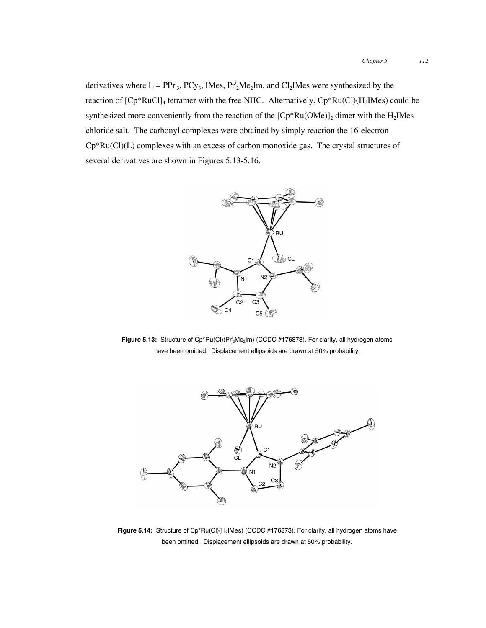derivatives where  $L = PPr^i_3$ ,  $PCy_3$ , IMes,  $Pr^i_2Me_2Im$ , and  $Cl_2Im$  Mes were synthesized by the reaction of  $[Cp*RuCl]_4$  tetramer with the free NHC. Alternatively,  $Cp*Ru(Cl)(H_2Mes)$  could be synthesized more conveniently from the reaction of the  $[Cp*Ru(OMe)]_2$  dimer with the H<sub>2</sub>IMes chloride salt. The carbonyl complexes were obtained by simply reaction the 16-electron Cp\*Ru(Cl)(L) complexes with an excess of carbon monoxide gas. The crystal structures of several derivatives are shown in Figures 5.13-5.16.



**Figure 5.13:** Structure of Cp\*Ru(Cl)(Pr<sup>i</sup><sub>2</sub>Me<sub>2</sub>Im) (CCDC #176873). For clarity, all hydrogen atoms have been omitted. Displacement ellipsoids are drawn at 50% probability.



Figure 5.14: Structure of Cp\*Ru(Cl)(H<sub>2</sub>IMes) (CCDC #176873). For clarity, all hydrogen atoms have been omitted. Displacement ellipsoids are drawn at 50% probability.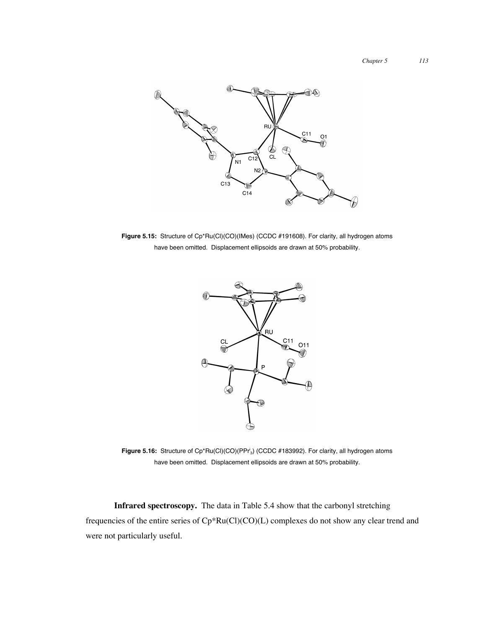

Figure 5.15: Structure of Cp\*Ru(Cl)(CO)(IMes) (CCDC #191608). For clarity, all hydrogen atoms have been omitted. Displacement ellipsoids are drawn at 50% probability.



**Figure 5.16:** Structure of Cp\*Ru(Cl)(CO)(PPr'<sub>3</sub>) (CCDC #183992). For clarity, all hydrogen atoms have been omitted. Displacement ellipsoids are drawn at 50% probability.

**Infrared spectroscopy.** The data in Table 5.4 show that the carbonyl stretching frequencies of the entire series of Cp\*Ru(Cl)(CO)(L) complexes do not show any clear trend and were not particularly useful.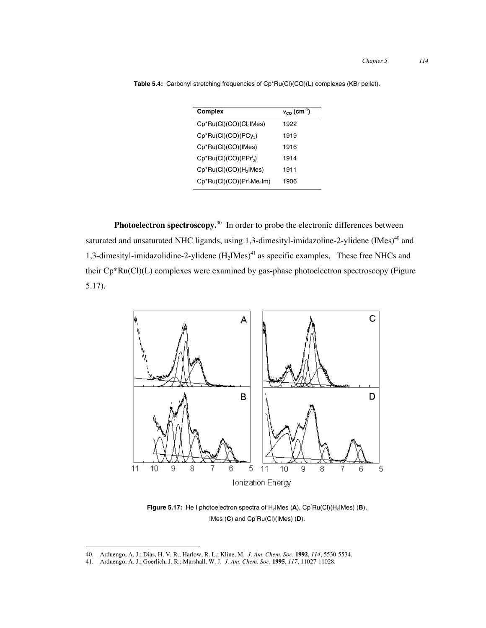| Complex                             | $v_{\rm co}$ (cm <sup>-1</sup> ) |
|-------------------------------------|----------------------------------|
| Cp*Ru(Cl)(CO)(Cl <sub>2</sub> IMes) | 1922                             |
| $Cp*Ru(Cl)(CO)(PCy_3)$              | 1919                             |
| Cp*Ru(Cl)(CO)(IMes)                 | 1916                             |
| $Cp*Ru(Cl)(CO)(PPr_3)$              | 1914                             |
| $Cp*Ru(Cl)(CO)(H2IMes)$             | 1911                             |
| $Cp^*Ru(Cl)(CO)(Pr^1_2Me_2Im)$      | 1906                             |
|                                     |                                  |

**Table 5.4:** Carbonyl stretching frequencies of Cp\*Ru(Cl)(CO)(L) complexes (KBr pellet).

**Photoelectron spectroscopy.**<sup>30</sup> In order to probe the electronic differences between saturated and unsaturated NHC ligands, using 1,3-dimesityl-imidazoline-2-ylidene (IMes)<sup>40</sup> and 1,3-dimesityl-imidazolidine-2-ylidene  $(H_2Mes)^{41}$  as specific examples, These free NHCs and their Cp\*Ru(Cl)(L) complexes were examined by gas-phase photoelectron spectroscopy (Figure 5.17).



**Figure 5.17:** He I photoelectron spectra of H<sub>2</sub>IMes (A), Cp<sup>-</sup>Ru(CI)(H<sub>2</sub>IMes) (B), IMes (**C**) and Cp\* Ru(Cl)(IMes) (**D**).

 <sup>40.</sup> Arduengo, A. J.; Dias, H. V. R.; Harlow, R. L.; Kline, M. *J. Am. Chem. Soc.* **<sup>1992</sup>**, *114*, 5530-5534.

<sup>41.</sup> Arduengo, A. J.; Goerlich, J. R.; Marshall, W. J. *J. Am. Chem. Soc.* **1995**, *117*, 11027-11028.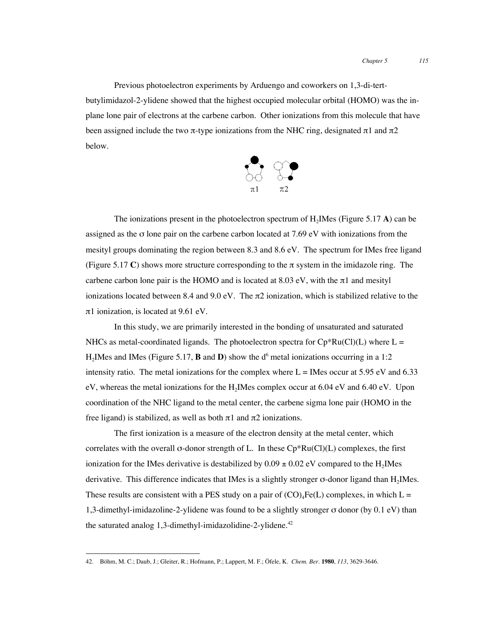Previous photoelectron experiments by Arduengo and coworkers on 1,3-di-tertbutylimidazol-2-ylidene showed that the highest occupied molecular orbital (HOMO) was the inplane lone pair of electrons at the carbene carbon. Other ionizations from this molecule that have been assigned include the two  $\pi$ -type ionizations from the NHC ring, designated  $\pi$ 1 and  $\pi$ 2 below.



The ionizations present in the photoelectron spectrum of  $H_2$ IMes (Figure 5.17 **A**) can be assigned as the σ lone pair on the carbene carbon located at 7.69 eV with ionizations from the mesityl groups dominating the region between 8.3 and 8.6 eV. The spectrum for IMes free ligand (Figure 5.17 C) shows more structure corresponding to the  $\pi$  system in the imidazole ring. The carbon lone pair is the HOMO and is located at  $8.03 \text{ eV}$ , with the  $\pi$ 1 and mesityl ionizations located between 8.4 and 9.0 eV. The  $\pi$ 2 ionization, which is stabilized relative to the π1 ionization, is located at 9.61 eV.

In this study, we are primarily interested in the bonding of unsaturated and saturated NHCs as metal-coordinated ligands. The photoelectron spectra for  $Cp*Ru(Cl)(L)$  where  $L =$  $H_2$  Mes and IMes (Figure 5.17, **B** and **D**) show the d<sup>6</sup> metal ionizations occurring in a 1:2 intensity ratio. The metal ionizations for the complex where  $L =$  IMes occur at 5.95 eV and 6.33 eV, whereas the metal ionizations for the H<sub>2</sub>IMes complex occur at 6.04 eV and 6.40 eV. Upon coordination of the NHC ligand to the metal center, the carbene sigma lone pair (HOMO in the free ligand) is stabilized, as well as both π1 and π2 ionizations.

The first ionization is a measure of the electron density at the metal center, which correlates with the overall  $\sigma$ -donor strength of L. In these  $Cp*Ru(Cl)(L)$  complexes, the first ionization for the IMes derivative is destabilized by  $0.09 \pm 0.02$  eV compared to the H<sub>2</sub>IMes derivative. This difference indicates that IMes is a slightly stronger σ-donor ligand than H2IMes. These results are consistent with a PES study on a pair of  $(CO)<sub>4</sub>Fe(L)$  complexes, in which L = 1,3-dimethyl-imidazoline-2-ylidene was found to be a slightly stronger σ donor (by 0.1 eV) than the saturated analog  $1,3$ -dimethyl-imidazolidine-2-ylidene.<sup>42</sup>

 <sup>42.</sup> Böhm, M. C.; Daub, J.; Gleiter, R.; Hofmann, P.; Lappert, M. F.; Öfele, K. *Chem. Ber.* **<sup>1980</sup>**, *113*, 3629-3646.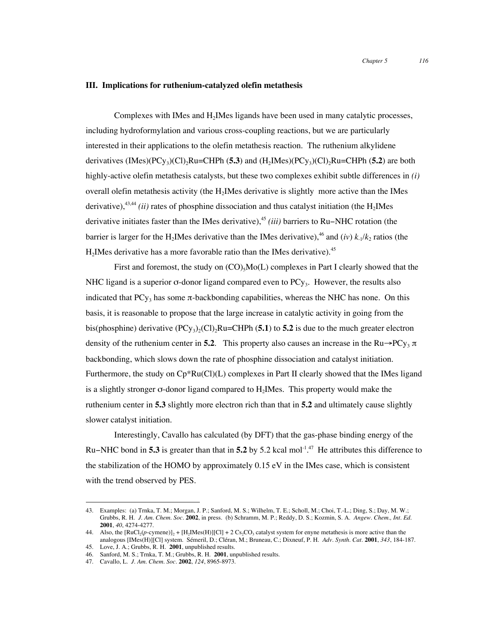#### **III. Implications for ruthenium-catalyzed olefin metathesis**

Complexes with IMes and H2IMes ligands have been used in many catalytic processes, including hydroformylation and various cross-coupling reactions, but we are particularly interested in their applications to the olefin metathesis reaction. The ruthenium alkylidene derivatives (IMes)(PCy<sub>3</sub>)(Cl)<sub>2</sub>Ru=CHPh (5.3) and (H<sub>2</sub>IMes)(PCy<sub>3</sub>)(Cl)<sub>2</sub>Ru=CHPh (5.2) are both highly-active olefin metathesis catalysts, but these two complexes exhibit subtle differences in *(i)* overall olefin metathesis activity (the  $H_2$ IMes derivative is slightly more active than the IMes derivative),  $43,44$  *(ii)* rates of phosphine dissociation and thus catalyst initiation (the H<sub>2</sub>IMes derivative initiates faster than the IMes derivative),45 *(iii)* barriers to Ru−NHC rotation (the barrier is larger for the H<sub>2</sub>IMes derivative than the IMes derivative),<sup>46</sup> and (*iv*)  $k_1/k_2$  ratios (the  $H<sub>2</sub>$ IMes derivative has a more favorable ratio than the IMes derivative).<sup>45</sup>

First and foremost, the study on  $(CO)_{5}MO(L)$  complexes in Part I clearly showed that the NHC ligand is a superior  $\sigma$ -donor ligand compared even to PCy<sub>3</sub>. However, the results also indicated that  $PCy_3$  has some  $\pi$ -backbonding capabilities, whereas the NHC has none. On this basis, it is reasonable to propose that the large increase in catalytic activity in going from the bis(phosphine) derivative (PCy<sub>3</sub>)<sub>2</sub>(Cl)<sub>2</sub>Ru=CHPh (5.1) to 5.2 is due to the much greater electron density of the ruthenium center in **5.2**. This property also causes an increase in the  $Ru \rightarrow PCy_3 \pi$ backbonding, which slows down the rate of phosphine dissociation and catalyst initiation. Furthermore, the study on  $\mathbb{C}p^*\text{Ru}(\mathbb{C}l)(L)$  complexes in Part II clearly showed that the IMes ligand is a slightly stronger σ-donor ligand compared to H2IMes. This property would make the ruthenium center in **5.3** slightly more electron rich than that in **5.2** and ultimately cause slightly slower catalyst initiation.

Interestingly, Cavallo has calculated (by DFT) that the gas-phase binding energy of the Ru−NHC bond in **5.3** is greater than that in **5.2** by 5.2 kcal mol-1. 47 He attributes this difference to the stabilization of the HOMO by approximately 0.15 eV in the IMes case, which is consistent with the trend observed by PES.

 <sup>43.</sup> Examples: (a) Trnka, T. M.; Morgan, J. P.; Sanford, M. S.; Wilhelm, T. E.; Scholl, M.; Choi, T.-L.; Ding, S.; Day, M. W.; Grubbs, R. H. *J. Am. Chem. Soc.* **2002**, in press. (b) Schramm, M. P.; Reddy, D. S.; Kozmin, S. A. *Angew. Chem., Int. Ed.* **2001**, *40*, 4274-4277.

<sup>44.</sup> Also, the  $[RuCl_2(p\text{-symene})]_2 + [H_2Mes(H)][Cl] + 2 Cs_2CO_3$  catalyst system for enyne metathesis is more active than the analogous [IMes(H)][Cl] system. Sémeril, D.; Cléran, M.; Bruneau, C.; Dixneuf, P. H. *Adv. Synth. Cat.* **2001**, *343*, 184-187.

<sup>45.</sup> Love, J. A.; Grubbs, R. H. **2001**, unpublished results.

<sup>46.</sup> Sanford, M. S.; Trnka, T. M.; Grubbs, R. H. **2001**, unpublished results.

<sup>47.</sup> Cavallo, L. *J. Am. Chem. Soc.* **2002**, *124*, 8965-8973.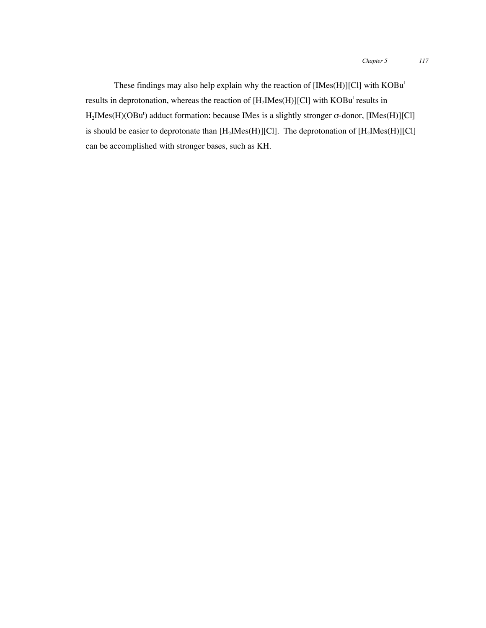These findings may also help explain why the reaction of [IMes(H)][Cl] with KOBu<sup>t</sup> results in deprotonation, whereas the reaction of  $[H_2Mes(H)][Cl]$  with  $KOBu^t$  results in  $H_2$ IMes(H)(OBu<sup>t</sup>) adduct formation: because IMes is a slightly stronger  $\sigma$ -donor, [IMes(H)][Cl] is should be easier to deprotonate than  $[H_2Mes(H)][Cl]$ . The deprotonation of  $[H_2Mes(H)][Cl]$ can be accomplished with stronger bases, such as KH.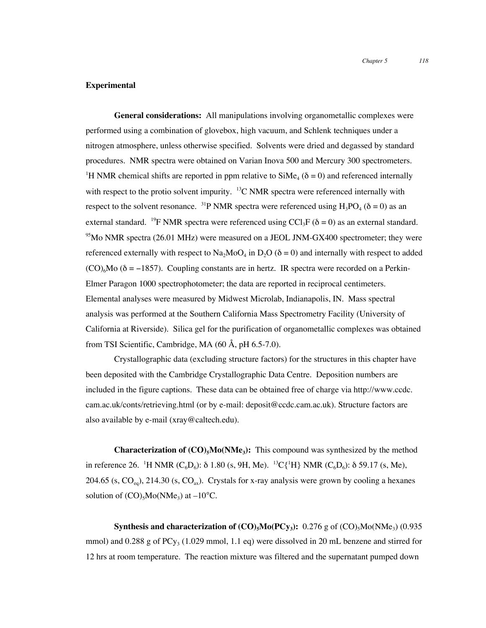#### **Experimental**

**General considerations:** All manipulations involving organometallic complexes were performed using a combination of glovebox, high vacuum, and Schlenk techniques under a nitrogen atmosphere, unless otherwise specified. Solvents were dried and degassed by standard procedures. NMR spectra were obtained on Varian Inova 500 and Mercury 300 spectrometers. <sup>1</sup>H NMR chemical shifts are reported in ppm relative to  $\text{SiMe}_4$  ( $\delta = 0$ ) and referenced internally with respect to the protio solvent impurity.  $^{13}$ C NMR spectra were referenced internally with respect to the solvent resonance. <sup>31</sup>P NMR spectra were referenced using  $H_3PO_4$  ( $\delta = 0$ ) as an external standard. <sup>19</sup>F NMR spectra were referenced using CCl<sub>3</sub>F ( $\delta$  = 0) as an external standard.  $95$ Mo NMR spectra (26.01 MHz) were measured on a JEOL JNM-GX400 spectrometer; they were referenced externally with respect to  $\text{Na}_2\text{MoO}_4$  in  $D_2\text{O}$  ( $\delta = 0$ ) and internally with respect to added  $(CO)<sub>6</sub>Mo ( $\delta = -1857$ ). Coupling constants are in hertz. IR spectra were recorded on a Perkin-$ Elmer Paragon 1000 spectrophotometer; the data are reported in reciprocal centimeters. Elemental analyses were measured by Midwest Microlab, Indianapolis, IN. Mass spectral analysis was performed at the Southern California Mass Spectrometry Facility (University of California at Riverside). Silica gel for the purification of organometallic complexes was obtained from TSI Scientific, Cambridge, MA (60 Å, pH 6.5-7.0).

Crystallographic data (excluding structure factors) for the structures in this chapter have been deposited with the Cambridge Crystallographic Data Centre. Deposition numbers are included in the figure captions. These data can be obtained free of charge via http://www.ccdc. cam.ac.uk/conts/retrieving.html (or by e-mail: deposit@ccdc.cam.ac.uk). Structure factors are also available by e-mail (xray@caltech.edu).

**Characterization of**  $(CO)_{5}Mo(NMe_{3})$ **:** This compound was synthesized by the method in reference 26. <sup>1</sup>H NMR (C<sub>6</sub>D<sub>6</sub>): δ 1.80 (s, 9H, Me). <sup>13</sup>C{<sup>1</sup>H} NMR (C<sub>6</sub>D<sub>6</sub>): δ 59.17 (s, Me), 204.65 (s,  $CO_{eq}$ ), 214.30 (s,  $CO_{av}$ ). Crystals for x-ray analysis were grown by cooling a hexanes solution of  $(CO)_{5}Mo(NMe_{3})$  at  $-10^{6}C$ .

**Synthesis and characterization of**  $(CO)_{5}Mo(PCy_{3})$ **:** 0.276 g of  $(CO)_{5}Mo(NMe_{3})$  (0.935) mmol) and 0.288 g of  $PCy_3$  (1.029 mmol, 1.1 eq) were dissolved in 20 mL benzene and stirred for 12 hrs at room temperature. The reaction mixture was filtered and the supernatant pumped down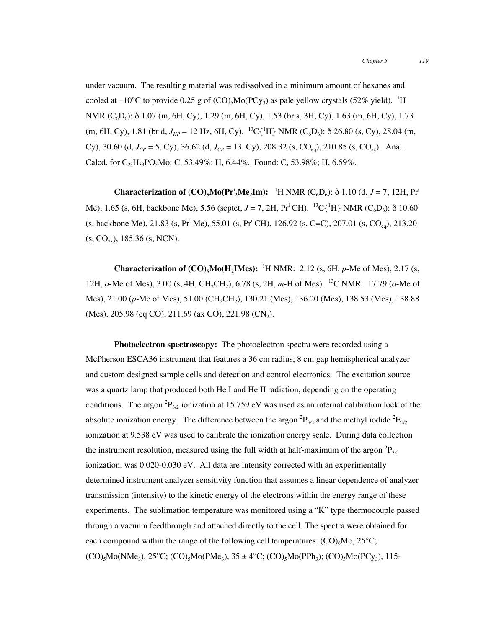under vacuum. The resulting material was redissolved in a minimum amount of hexanes and cooled at –10°C to provide 0.25 g of  $(CO)_{5}Mo(PCy_{3})$  as pale yellow crystals (52% yield). <sup>1</sup>H NMR (C<sub>6</sub>D<sub>6</sub>): δ 1.07 (m, 6H, Cy), 1.29 (m, 6H, Cy), 1.53 (br s, 3H, Cy), 1.63 (m, 6H, Cy), 1.73 (m, 6H, Cy), 1.81 (br d,  $J_{HP} = 12$  Hz, 6H, Cy). <sup>13</sup>C{<sup>1</sup>H} NMR (C<sub>6</sub>D<sub>6</sub>):  $\delta$  26.80 (s, Cy), 28.04 (m, Cy), 30.60 (d,  $J_{CP} = 5$ , Cy), 36.62 (d,  $J_{CP} = 13$ , Cy), 208.32 (s, CO<sub>eq</sub>), 210.85 (s, CO<sub>ax</sub>). Anal. Calcd. for  $C_{23}H_{33}PO_5Mo$ : C, 53.49%; H, 6.44%. Found: C, 53.98%; H, 6.59%.

**Characterization of**  $(CO)_{5}Mo(Pr_{2}^{1}Me_{2}Im):$  **<sup>1</sup>H NMR**  $(C_{6}D_{6})$ **: δ 1.10 (d,** *J* **= 7, 12H, Pr<sup>i</sup>** Me), 1.65 (s, 6H, backbone Me), 5.56 (septet, *J* = 7, 2H, Pr<sup>i</sup> CH). <sup>13</sup>C{<sup>1</sup>H} NMR (C<sub>6</sub>D<sub>6</sub>): δ 10.60 (s, backbone Me), 21.83 (s, Pr<sup>i</sup> Me), 55.01 (s, Pr<sup>i</sup> CH), 126.92 (s, C=C), 207.01 (s, CO<sub>eq</sub>), 213.20  $(S, CO<sub>av</sub>)$ , 185.36  $(S, NCN)$ .

**Characterization of**  $(CO)_{5}Mo(H_{2}IME):$  <sup>1</sup>H NMR: 2.12 (s, 6H, *p*-Me of Mes), 2.17 (s, 12H, *o*-Me of Mes), 3.00 (s, 4H, CH<sub>2</sub>CH<sub>2</sub>), 6.78 (s, 2H, *m*-H of Mes). <sup>13</sup>C NMR: 17.79 (*o*-Me of Mes), 21.00 (p-Me of Mes), 51.00 (CH<sub>2</sub>CH<sub>2</sub>), 130.21 (Mes), 136.20 (Mes), 138.53 (Mes), 138.88 (Mes), 205.98 (eq CO), 211.69 (ax CO), 221.98 (CN<sub>2</sub>).

**Photoelectron spectroscopy:** The photoelectron spectra were recorded using a McPherson ESCA36 instrument that features a 36 cm radius, 8 cm gap hemispherical analyzer and custom designed sample cells and detection and control electronics. The excitation source was a quartz lamp that produced both He I and He II radiation, depending on the operating conditions. The argon  ${}^{2}P_{3/2}$  ionization at 15.759 eV was used as an internal calibration lock of the absolute ionization energy. The difference between the argon  ${}^{2}P_{3/2}$  and the methyl iodide  ${}^{2}E_{1/2}$ ionization at 9.538 eV was used to calibrate the ionization energy scale. During data collection the instrument resolution, measured using the full width at half-maximum of the argon  ${}^{2}P_{3/2}$ ionization, was 0.020-0.030 eV. All data are intensity corrected with an experimentally determined instrument analyzer sensitivity function that assumes a linear dependence of analyzer transmission (intensity) to the kinetic energy of the electrons within the energy range of these experiments. The sublimation temperature was monitored using a "K" type thermocouple passed through a vacuum feedthrough and attached directly to the cell. The spectra were obtained for each compound within the range of the following cell temperatures:  $(CO)_{6}Mo$ ,  $25^{\circ}C$ ;  $(CO)_{5}Mo(NMe_{3}), 25°C$ ;  $(CO)_{5}Mo(PMe_{3}), 35 \pm 4°C$ ;  $(CO)_{5}Mo(PPh_{3})$ ;  $(CO)_{5}Mo(PCy_{3}), 115-$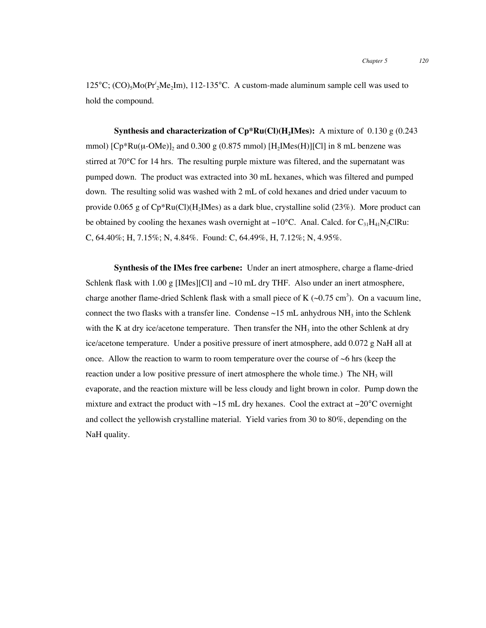125°C; (CO)<sub>5</sub>Mo(Pr<sup>*i*</sup><sub>2</sub>Me<sub>2</sub>Im), 112-135°C. A custom-made aluminum sample cell was used to hold the compound.

**Synthesis and characterization of**  $\mathbb{C}p^*\mathbf{Ru}(\mathbf{Cl})(\mathbf{H}_2\mathbf{I}\mathbf{Mes})$ **:** A mixture of 0.130 g (0.243) mmol)  $[Cp*Ru(\mu\text{-}OMe)]_2$  and 0.300 g (0.875 mmol)  $[H_2Mes(H)][Cl]$  in 8 mL benzene was stirred at 70°C for 14 hrs. The resulting purple mixture was filtered, and the supernatant was pumped down. The product was extracted into 30 mL hexanes, which was filtered and pumped down. The resulting solid was washed with 2 mL of cold hexanes and dried under vacuum to provide 0.065 g of  $\text{Cp*Ru}(Cl)(H_2IMes)$  as a dark blue, crystalline solid (23%). More product can be obtained by cooling the hexanes wash overnight at  $-10^{\circ}$ C. Anal. Calcd. for C<sub>31</sub>H<sub>41</sub>N<sub>2</sub>ClRu: C, 64.40%; H, 7.15%; N, 4.84%. Found: C, 64.49%, H, 7.12%; N, 4.95%.

**Synthesis of the IMes free carbene:** Under an inert atmosphere, charge a flame-dried Schlenk flask with 1.00 g [IMes][Cl] and  $\sim$ 10 mL dry THF. Also under an inert atmosphere, charge another flame-dried Schlenk flask with a small piece of K  $(\sim 0.75 \text{ cm}^3)$ . On a vacuum line, connect the two flasks with a transfer line. Condense  $\sim$ 15 mL anhydrous NH<sub>3</sub> into the Schlenk with the K at dry ice/acetone temperature. Then transfer the  $NH<sub>3</sub>$  into the other Schlenk at dry ice/acetone temperature. Under a positive pressure of inert atmosphere, add 0.072 g NaH all at once. Allow the reaction to warm to room temperature over the course of  $\sim$ 6 hrs (keep the reaction under a low positive pressure of inert atmosphere the whole time.) The  $NH<sub>3</sub>$  will evaporate, and the reaction mixture will be less cloudy and light brown in color. Pump down the mixture and extract the product with ~15 mL dry hexanes. Cool the extract at −20°C overnight and collect the yellowish crystalline material. Yield varies from 30 to 80%, depending on the NaH quality.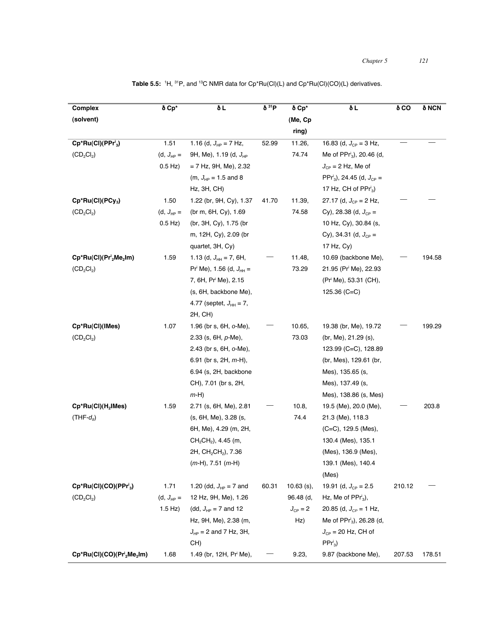| Complex                                                        | δ Cp*          | δL                                          | $\delta^{31}P$ | δ Cp*        | δL                                                    | δCO    | δ NCN  |
|----------------------------------------------------------------|----------------|---------------------------------------------|----------------|--------------|-------------------------------------------------------|--------|--------|
| (solvent)                                                      |                |                                             |                | (Me, Cp      |                                                       |        |        |
|                                                                |                |                                             |                | ring)        |                                                       |        |        |
| $Cp*Ru(Cl)(PPri3)$                                             | 1.51           | 1.16 (d, $J_{HP} = 7$ Hz,                   | 52.99          | 11.26,       | 16.83 (d, $J_{CP} = 3$ Hz,                            |        |        |
| $(CD_2Cl_2)$                                                   | (d, $J_{HP} =$ | 9H, Me), 1.19 (d, $J_{HP}$                  |                | 74.74        | Me of $PPr_{3}^{i}$ , 20.46 (d,                       |        |        |
|                                                                | $0.5$ Hz)      | $= 7$ Hz, 9H, Me), 2.32                     |                |              | $J_{CP}$ = 2 Hz, Me of                                |        |        |
|                                                                |                | (m, $J_{HP} = 1.5$ and 8                    |                |              | PPr <sup>i</sup> <sub>3</sub> ), 24.45 (d, $J_{CP}$ = |        |        |
|                                                                |                | $Hz$ , $3H$ , $CH$ )                        |                |              | 17 Hz, CH of $PPr_{3}^{i}$ )                          |        |        |
| Cp*Ru(Cl)(PCy <sub>3</sub> )                                   | 1.50           | 1.22 (br, 9H, Cy), 1.37                     | 41.70          | 11.39,       | 27.17 (d, $J_{CP} = 2$ Hz,                            |        |        |
| $(CD_2Cl_2)$                                                   | (d, $J_{HP} =$ | (br m, 6H, Cy), 1.69                        |                | 74.58        | Cy), 28.38 (d, $J_{CP}$ =                             |        |        |
|                                                                | $0.5$ Hz)      | (br, 3H, Cy), 1.75 (br                      |                |              | 10 Hz, Cy), 30.84 (s,                                 |        |        |
|                                                                |                | m, 12H, Cy), 2.09 (br                       |                |              | Cy), 34.31 (d, $J_{CP}$ =                             |        |        |
|                                                                |                | quartet, 3H, Cy)                            |                |              | 17 Hz, Cy)                                            |        |        |
| $Cp*Ru(Cl)(Pri2Me2Im)$                                         | 1.59           | 1.13 (d, $J_{HH} = 7$ , 6H,                 |                | 11.48,       | 10.69 (backbone Me),                                  |        | 194.58 |
| $(CD_2Cl_2)$                                                   |                | $Pr^i$ Me), 1.56 (d, $J_{HH}$ =             |                | 73.29        | 21.95 (Pr <sup>i</sup> Me), 22.93                     |        |        |
|                                                                |                | 7, 6H, Pr <sup>i</sup> Me), 2.15            |                |              | (Pr <sup>i</sup> Me), 53.31 (CH),                     |        |        |
|                                                                |                | (s, 6H, backbone Me),                       |                |              | 125.36 $(C=C)$                                        |        |        |
|                                                                |                | 4.77 (septet, $J_{HH} = 7$ ,                |                |              |                                                       |        |        |
|                                                                |                | 2H, CH)                                     |                |              |                                                       |        |        |
| Cp*Ru(CI)(IMes)                                                | 1.07           | 1.96 (br s, 6H, o-Me),                      |                | 10.65,       | 19.38 (br, Me), 19.72                                 |        | 199.29 |
| $(CD_2Cl_2)$                                                   |                | 2.33 (s, $6H, p-Me$ ),                      |                | 73.03        | (br, Me), 21.29 (s),                                  |        |        |
|                                                                |                | 2.43 (br s, 6H, o-Me),                      |                |              | 123.99 (C=C), 128.89                                  |        |        |
|                                                                |                | 6.91 (br s, 2H, $m$ -H),                    |                |              | (br, Mes), 129.61 (br,                                |        |        |
|                                                                |                | 6.94 (s, 2H, backbone                       |                |              | Mes), 135.65 (s,                                      |        |        |
|                                                                |                | CH), 7.01 (br s, 2H,                        |                |              | Mes), 137.49 (s,                                      |        |        |
|                                                                |                | $m-H$ )                                     |                |              | Mes), 138.86 (s, Mes)                                 |        |        |
| $\mathsf{Cp^*Ru(Cl)(H_2IMes)}$                                 | 1.59           | 2.71 (s, 6H, Me), 2.81                      |                | 10.8,        | 19.5 (Me), 20.0 (Me),                                 |        | 203.8  |
| $(THF-d_8)$                                                    |                | (s, 6H, Me), 3.28 (s,                       |                | 74.4         | 21.3 (Me), 118.3                                      |        |        |
|                                                                |                | 6H, Me), 4.29 (m, 2H,                       |                |              | (C=C), 129.5 (Mes),                                   |        |        |
|                                                                |                | $CH2CH2$ ), 4.45 (m,                        |                |              | 130.4 (Mes), 135.1                                    |        |        |
|                                                                |                | 2H, CH <sub>2</sub> CH <sub>2</sub> ), 7.36 |                |              | (Mes), 136.9 (Mes),                                   |        |        |
|                                                                |                | $(m-H)$ , 7.51 $(m-H)$                      |                |              | 139.1 (Mes), 140.4                                    |        |        |
|                                                                |                |                                             |                |              | (Mes)                                                 |        |        |
| Cp*Ru(Cl)(CO)(PPr' <sub>3</sub> )                              | 1.71           | 1.20 (dd, $J_{HP} = 7$ and                  | 60.31          | $10.63$ (s), | 19.91 (d, $J_{CP} = 2.5$                              | 210.12 |        |
| $(CD_2Cl_2)$                                                   | (d, $J_{HP} =$ | 12 Hz, 9H, Me), 1.26                        |                | 96.48 (d,    | Hz, Me of $PPr3i$ ),                                  |        |        |
|                                                                | $1.5$ Hz)      | (dd, $J_{HP} = 7$ and 12                    |                | $J_{CP} = 2$ | 20.85 (d, $J_{CP}$ = 1 Hz,                            |        |        |
|                                                                |                | Hz, 9H, Me), 2.38 (m,                       |                | Hz)          | Me of $PPr_3$ , 26.28 (d,                             |        |        |
|                                                                |                | $J_{HP}$ = 2 and 7 Hz, 3H,                  |                |              | $J_{CP}$ = 20 Hz, CH of                               |        |        |
|                                                                |                | CH)                                         |                |              | $PPr3$ )                                              |        |        |
| Cp*Ru(Cl)(CO)(Pr <sup>i</sup> <sub>2</sub> Me <sub>2</sub> Im) | 1.68           | 1.49 (br, 12H, Pr <sup>i</sup> Me),         |                | 9.23,        | 9.87 (backbone Me),                                   | 207.53 | 178.51 |

Table 5.5: <sup>1</sup>H, <sup>31</sup>P, and <sup>13</sup>C NMR data for Cp\*Ru(Cl)(L) and Cp\*Ru(Cl)(CO)(L) derivatives.